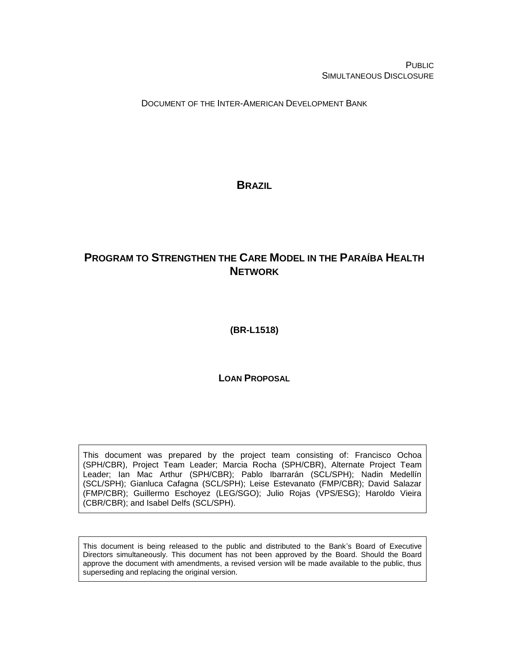PUBLIC SIMULTANEOUS DISCLOSURE

DOCUMENT OF THE INTER-AMERICAN DEVELOPMENT BANK

<span id="page-0-0"></span>**BRAZIL**

# <span id="page-0-1"></span>**PROGRAM TO STRENGTHEN THE CARE MODEL IN THE PARAÍBA HEALTH NETWORK**

<span id="page-0-2"></span>**(BR-L1518)**

**LOAN PROPOSAL**

This document was prepared by the project team consisting of: Francisco Ochoa (SPH/CBR), Project Team Leader; Marcia Rocha (SPH/CBR), Alternate Project Team Leader; Ian Mac Arthur (SPH/CBR); Pablo Ibarrarán (SCL/SPH); Nadin Medellín (SCL/SPH); Gianluca Cafagna (SCL/SPH); Leise Estevanato (FMP/CBR); David Salazar (FMP/CBR); Guillermo Eschoyez (LEG/SGO); Julio Rojas (VPS/ESG); Haroldo Vieira (CBR/CBR); and Isabel Delfs (SCL/SPH).

This document is being released to the public and distributed to the Bank's Board of Executive Directors simultaneously. This document has not been approved by the Board. Should the Board approve the document with amendments, a revised version will be made available to the public, thus superseding and replacing the original version.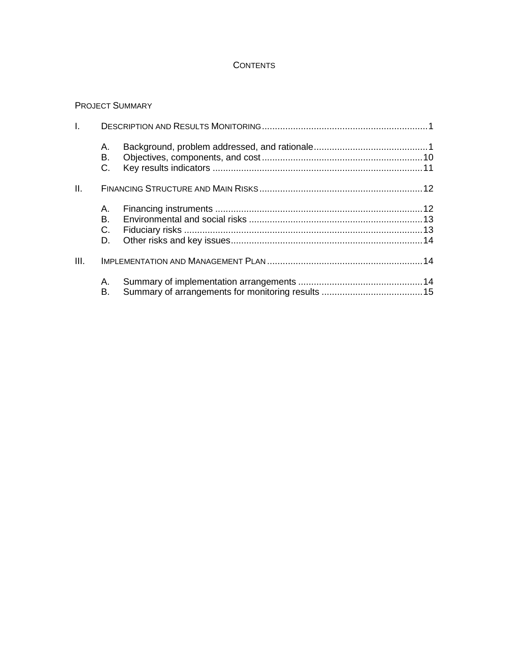## **CONTENTS**

### PROJECT SUMMARY

| I.   |                      |  |
|------|----------------------|--|
|      | А.<br>В.<br>C.       |  |
| II.  |                      |  |
|      | А.<br>В.<br>C.<br>D. |  |
| III. |                      |  |
|      | А.<br>В.             |  |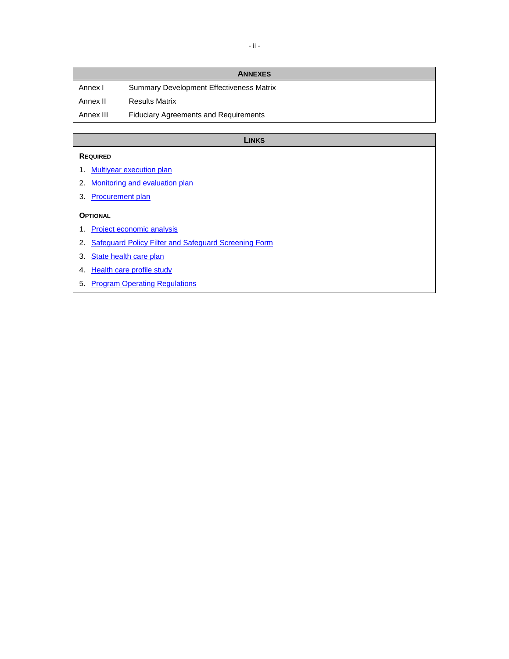|           | <b>ANNEXES</b>                                  |
|-----------|-------------------------------------------------|
| Annex I   | <b>Summary Development Effectiveness Matrix</b> |
| Annex II  | <b>Results Matrix</b>                           |
| Annex III | <b>Fiduciary Agreements and Requirements</b>    |

#### **LINKS**

### **REQUIRED**

- 1. [Multiyear execution plan](http://idbdocs.iadb.org/wsdocs/getDocument.aspx?DOCNUM=EZSHARE-1515354007-76)
- 2. [Monitoring and evaluation plan](http://idbdocs.iadb.org/wsdocs/getDocument.aspx?DOCNUM=EZSHARE-1515354007-77)
- 3. [Procurement plan](http://idbdocs.iadb.org/wsdocs/getDocument.aspx?DOCNUM=EZSHARE-1515354007-78)

### **OPTIONAL**

- 1. [Project economic analysis](http://idbdocs.iadb.org/wsdocs/getDocument.aspx?DOCNUM=EZSHARE-1515354007-74)
- 2. [Safeguard Policy Filter and Safeguard Screening Form](http://idbdocs.iadb.org/wsdocs/getDocument.aspx?DOCNUM=EZSHARE-2060961622-10)
- 3. [State health care plan](http://idbdocs.iadb.org/wsdocs/getDocument.aspx?DOCNUM=EZSHARE-1515354007-60)
- 4. [Health care profile study](http://idbdocs.iadb.org/wsdocs/getDocument.aspx?DOCNUM=EZSHARE-1515354007-61)
- 5. [Program Operating Regulations](http://idbdocs.iadb.org/wsdocs/getDocument.aspx?DOCNUM=EZSHARE-1515354007-103)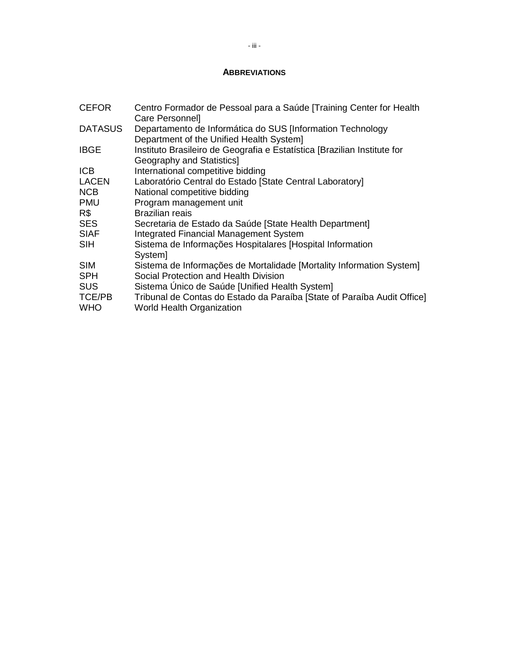## **ABBREVIATIONS**

| <b>CEFOR</b>                | Centro Formador de Pessoal para a Saúde [Training Center for Health<br>Care Personnel                       |
|-----------------------------|-------------------------------------------------------------------------------------------------------------|
| <b>DATASUS</b>              | Departamento de Informática do SUS [Information Technology<br>Department of the Unified Health System]      |
| <b>IBGE</b>                 | Instituto Brasileiro de Geografia e Estatística [Brazilian Institute for<br>Geography and Statistics]       |
| <b>ICB</b>                  | International competitive bidding                                                                           |
| <b>LACEN</b>                | Laboratório Central do Estado [State Central Laboratory]                                                    |
| <b>NCB</b>                  | National competitive bidding                                                                                |
| <b>PMU</b>                  | Program management unit                                                                                     |
| R\$                         | <b>Brazilian reais</b>                                                                                      |
| <b>SES</b>                  | Secretaria de Estado da Saúde [State Health Department]                                                     |
| <b>SIAF</b>                 | <b>Integrated Financial Management System</b>                                                               |
| <b>SIH</b>                  | Sistema de Informações Hospitalares [Hospital Information<br>System]                                        |
| <b>SIM</b>                  | Sistema de Informações de Mortalidade [Mortality Information System]                                        |
| <b>SPH</b>                  | Social Protection and Health Division                                                                       |
| <b>SUS</b>                  | Sistema Único de Saúde [Unified Health System]                                                              |
| <b>TCE/PB</b><br><b>WHO</b> | Tribunal de Contas do Estado da Paraíba [State of Paraíba Audit Office]<br><b>World Health Organization</b> |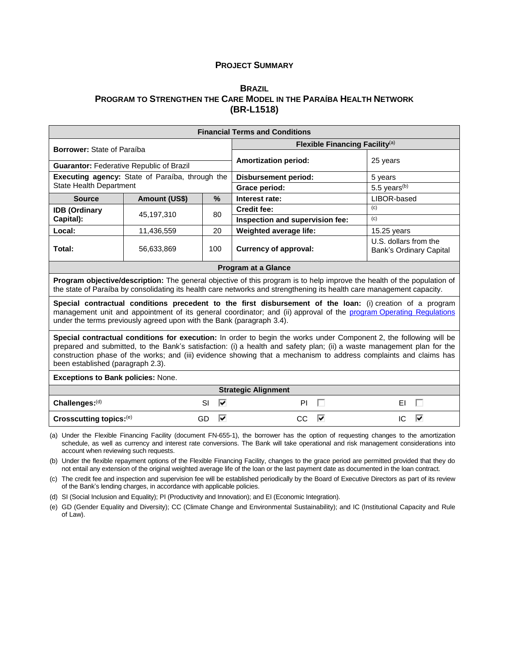#### **PROJECT SUMMARY**

### **B[RAZIL](#page-0-0) PROGRAM TO S[TRENGTHEN THE](#page-0-1) CARE MODEL IN THE PARAÍBA HEALTH NETWORK [\(BR-L1518\)](#page-0-2)**

| <b>Financial Terms and Conditions</b>                                                                                                                                                                                                                                                                                                                                                                  |                                                 |                |                                                                                                                                                                                                                                                         |                                                         |  |  |  |  |  |
|--------------------------------------------------------------------------------------------------------------------------------------------------------------------------------------------------------------------------------------------------------------------------------------------------------------------------------------------------------------------------------------------------------|-------------------------------------------------|----------------|---------------------------------------------------------------------------------------------------------------------------------------------------------------------------------------------------------------------------------------------------------|---------------------------------------------------------|--|--|--|--|--|
| <b>Borrower:</b> State of Paraíba                                                                                                                                                                                                                                                                                                                                                                      |                                                 |                | Flexible Financing Facility <sup>(a)</sup>                                                                                                                                                                                                              |                                                         |  |  |  |  |  |
|                                                                                                                                                                                                                                                                                                                                                                                                        |                                                 |                | <b>Amortization period:</b>                                                                                                                                                                                                                             | 25 years                                                |  |  |  |  |  |
| <b>Guarantor: Federative Republic of Brazil</b>                                                                                                                                                                                                                                                                                                                                                        |                                                 |                |                                                                                                                                                                                                                                                         |                                                         |  |  |  |  |  |
|                                                                                                                                                                                                                                                                                                                                                                                                        | Executing agency: State of Paraíba, through the |                | <b>Disbursement period:</b>                                                                                                                                                                                                                             | 5 years                                                 |  |  |  |  |  |
| <b>State Health Department</b>                                                                                                                                                                                                                                                                                                                                                                         |                                                 |                | Grace period:                                                                                                                                                                                                                                           | $5.5$ years <sup>(b)</sup>                              |  |  |  |  |  |
| <b>Source</b>                                                                                                                                                                                                                                                                                                                                                                                          | Amount (US\$)                                   | $\%$           | Interest rate:                                                                                                                                                                                                                                          | LIBOR-based                                             |  |  |  |  |  |
| <b>IDB (Ordinary</b>                                                                                                                                                                                                                                                                                                                                                                                   |                                                 |                | <b>Credit fee:</b>                                                                                                                                                                                                                                      | (c)                                                     |  |  |  |  |  |
| Capital):                                                                                                                                                                                                                                                                                                                                                                                              | 45.197.310                                      | 80             | Inspection and supervision fee:                                                                                                                                                                                                                         | (c)                                                     |  |  |  |  |  |
| Local:                                                                                                                                                                                                                                                                                                                                                                                                 | 11,436,559                                      | 20             | Weighted average life:                                                                                                                                                                                                                                  | $15.25$ years                                           |  |  |  |  |  |
| Total:                                                                                                                                                                                                                                                                                                                                                                                                 | 56,633,869                                      | 100            | <b>Currency of approval:</b>                                                                                                                                                                                                                            | U.S. dollars from the<br><b>Bank's Ordinary Capital</b> |  |  |  |  |  |
|                                                                                                                                                                                                                                                                                                                                                                                                        |                                                 |                | <b>Program at a Glance</b>                                                                                                                                                                                                                              |                                                         |  |  |  |  |  |
|                                                                                                                                                                                                                                                                                                                                                                                                        |                                                 |                | <b>Program objective/description:</b> The general objective of this program is to help improve the health of the population of<br>the state of Paraíba by consolidating its health care networks and strengthening its health care management capacity. |                                                         |  |  |  |  |  |
| Special contractual conditions precedent to the first disbursement of the loan: (i) creation of a program<br>management unit and appointment of its general coordinator; and (ii) approval of the program Operating Regulations<br>under the terms previously agreed upon with the Bank (paragraph 3.4).                                                                                               |                                                 |                |                                                                                                                                                                                                                                                         |                                                         |  |  |  |  |  |
| Special contractual conditions for execution: In order to begin the works under Component 2, the following will be<br>prepared and submitted, to the Bank's satisfaction: (i) a health and safety plan; (ii) a waste management plan for the<br>construction phase of the works; and (iii) evidence showing that a mechanism to address complaints and claims has<br>been established (paragraph 2.3). |                                                 |                |                                                                                                                                                                                                                                                         |                                                         |  |  |  |  |  |
| <b>Exceptions to Bank policies: None.</b>                                                                                                                                                                                                                                                                                                                                                              |                                                 |                |                                                                                                                                                                                                                                                         |                                                         |  |  |  |  |  |
|                                                                                                                                                                                                                                                                                                                                                                                                        | <b>Strategic Alignment</b>                      |                |                                                                                                                                                                                                                                                         |                                                         |  |  |  |  |  |
| Challenges:(d)                                                                                                                                                                                                                                                                                                                                                                                         |                                                 | ⊽<br><b>SI</b> | PI.                                                                                                                                                                                                                                                     | EI                                                      |  |  |  |  |  |
| Crosscutting topics:(e)                                                                                                                                                                                                                                                                                                                                                                                |                                                 | ⊽<br>GD        | ⊽<br><b>CC</b>                                                                                                                                                                                                                                          | ⊽<br>IC                                                 |  |  |  |  |  |

(a) Under the Flexible Financing Facility (document FN-655-1), the borrower has the option of requesting changes to the amortization schedule, as well as currency and interest rate conversions. The Bank will take operational and risk management considerations into account when reviewing such requests.

(b) Under the flexible repayment options of the Flexible Financing Facility, changes to the grace period are permitted provided that they do not entail any extension of the original weighted average life of the loan or the last payment date as documented in the loan contract.

(c) The credit fee and inspection and supervision fee will be established periodically by the Board of Executive Directors as part of its review of the Bank's lending charges, in accordance with applicable policies.

(d) SI (Social Inclusion and Equality); PI (Productivity and Innovation); and EI (Economic Integration).

(e) GD (Gender Equality and Diversity); CC (Climate Change and Environmental Sustainability); and IC (Institutional Capacity and Rule of Law).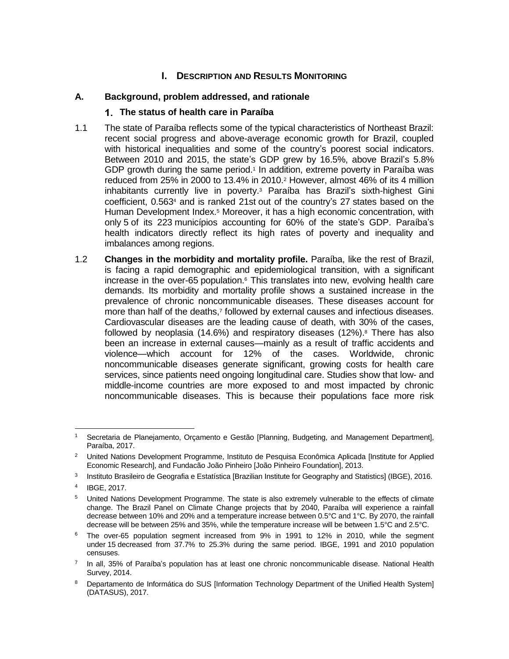## **I.** DESCRIPTION AND RESULTS MONITORING

## **A. Background, problem addressed, and rationale**

### **The status of health care in Paraíba**

- 1.1 The state of Paraíba reflects some of the typical characteristics of Northeast Brazil: recent social progress and above-average economic growth for Brazil, coupled with historical inequalities and some of the country's poorest social indicators. Between 2010 and 2015, the state's GDP grew by 16.5%, above Brazil's 5.8% GDP growth during the same period.<sup>1</sup> In addition, extreme poverty in Paraíba was reduced from 25% in 2000 to 13.4% in 2010.<sup>2</sup> However, almost 46% of its 4 million inhabitants currently live in poverty.<sup>3</sup> Paraíba has Brazil's sixth-highest Gini coefficient, 0.563<sup>4</sup> and is ranked 21st out of the country's 27 states based on the Human Development Index.<sup>5</sup> Moreover, it has a high economic concentration, with only 5 of its 223 municípios accounting for 60% of the state's GDP. Paraíba's health indicators directly reflect its high rates of poverty and inequality and imbalances among regions.
- 1.2 **Changes in the morbidity and mortality profile.** Paraíba, like the rest of Brazil, is facing a rapid demographic and epidemiological transition, with a significant increase in the over-65 population. $6$  This translates into new, evolving health care demands. Its morbidity and mortality profile shows a sustained increase in the prevalence of chronic noncommunicable diseases. These diseases account for more than half of the deaths,<sup>7</sup> followed by external causes and infectious diseases. Cardiovascular diseases are the leading cause of death, with 30% of the cases, followed by neoplasia (14.6%) and respiratory diseases (12%).<sup>8</sup> There has also been an increase in external causes—mainly as a result of traffic accidents and violence—which account for 12% of the cases. Worldwide, chronic noncommunicable diseases generate significant, growing costs for health care services, since patients need ongoing longitudinal care. Studies show that low- and middle-income countries are more exposed to and most impacted by chronic noncommunicable diseases. This is because their populations face more risk

 $\overline{a}$ Secretaria de Planejamento, Orçamento e Gestão [Planning, Budgeting, and Management Department], Paraíba, 2017.

<sup>&</sup>lt;sup>2</sup> United Nations Development Programme, Instituto de Pesquisa Econômica Aplicada [Institute for Applied Economic Research], and Fundacão João Pinheiro [João Pinheiro Foundation], 2013.

<sup>&</sup>lt;sup>3</sup> Instituto Brasileiro de Geografia e Estatística [Brazilian Institute for Geography and Statistics] (IBGE), 2016.

<sup>4</sup> IBGE, 2017.

<sup>5</sup> United Nations Development Programme. The state is also extremely vulnerable to the effects of climate change. The Brazil Panel on Climate Change projects that by 2040, Paraíba will experience a rainfall decrease between 10% and 20% and a temperature increase between 0.5°C and 1°C. By 2070, the rainfall decrease will be between 25% and 35%, while the temperature increase will be between 1.5°C and 2.5°C.

<sup>6</sup> The over-65 population segment increased from 9% in 1991 to 12% in 2010, while the segment under 15 decreased from 37.7% to 25.3% during the same period. IBGE, 1991 and 2010 population censuses.

<sup>&</sup>lt;sup>7</sup> In all, 35% of Paraíba's population has at least one chronic noncommunicable disease. National Health Survey, 2014.

<sup>8</sup> Departamento de Informática do SUS [Information Technology Department of the Unified Health System] (DATASUS), 2017.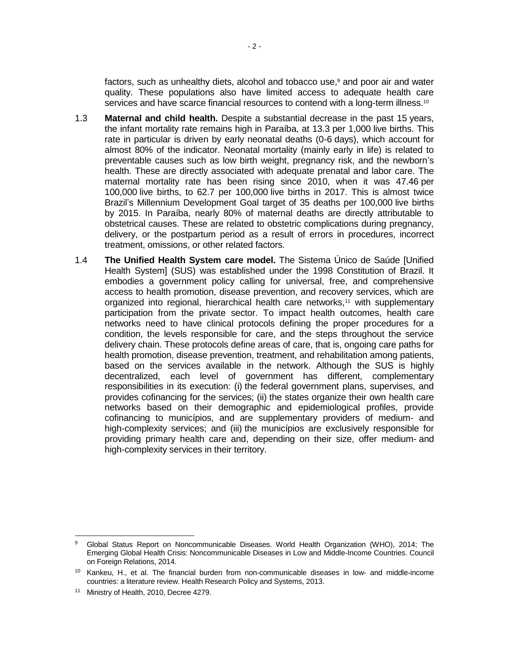factors, such as unhealthy diets, alcohol and tobacco use, <sup>9</sup> and poor air and water quality. These populations also have limited access to adequate health care services and have scarce financial resources to contend with a long-term illness.<sup>10</sup>

- 1.3 **Maternal and child health.** Despite a substantial decrease in the past 15 years, the infant mortality rate remains high in Paraíba, at 13.3 per 1,000 live births. This rate in particular is driven by early neonatal deaths (0-6 days), which account for almost 80% of the indicator. Neonatal mortality (mainly early in life) is related to preventable causes such as low birth weight, pregnancy risk, and the newborn's health. These are directly associated with adequate prenatal and labor care. The maternal mortality rate has been rising since 2010, when it was 47.46 per 100,000 live births, to 62.7 per 100,000 live births in 2017. This is almost twice Brazil's Millennium Development Goal target of 35 deaths per 100,000 live births by 2015. In Paraíba, nearly 80% of maternal deaths are directly attributable to obstetrical causes. These are related to obstetric complications during pregnancy, delivery, or the postpartum period as a result of errors in procedures, incorrect treatment, omissions, or other related factors.
- 1.4 **The Unified Health System care model.** The Sistema Único de Saúde [Unified Health System] (SUS) was established under the 1998 Constitution of Brazil. It embodies a government policy calling for universal, free, and comprehensive access to health promotion, disease prevention, and recovery services, which are organized into regional, hierarchical health care networks,<sup>11</sup> with supplementary participation from the private sector. To impact health outcomes, health care networks need to have clinical protocols defining the proper procedures for a condition, the levels responsible for care, and the steps throughout the service delivery chain. These protocols define areas of care, that is, ongoing care paths for health promotion, disease prevention, treatment, and rehabilitation among patients, based on the services available in the network. Although the SUS is highly decentralized, each level of government has different, complementary responsibilities in its execution: (i) the federal government plans, supervises, and provides cofinancing for the services; (ii) the states organize their own health care networks based on their demographic and epidemiological profiles, provide cofinancing to municípios, and are supplementary providers of medium- and high-complexity services; and (iii) the municípios are exclusively responsible for providing primary health care and, depending on their size, offer medium- and high-complexity services in their territory.

<sup>9</sup> Global Status Report on Noncommunicable Diseases. World Health Organization (WHO), 2014; The Emerging Global Health Crisis: Noncommunicable Diseases in Low and Middle-Income Countries. Council on Foreign Relations, 2014.

<sup>&</sup>lt;sup>10</sup> Kankeu, H., et al. The financial burden from non-communicable diseases in low- and middle-income countries: a literature review. Health Research Policy and Systems, 2013.

<sup>&</sup>lt;sup>11</sup> Ministry of Health, 2010, Decree 4279.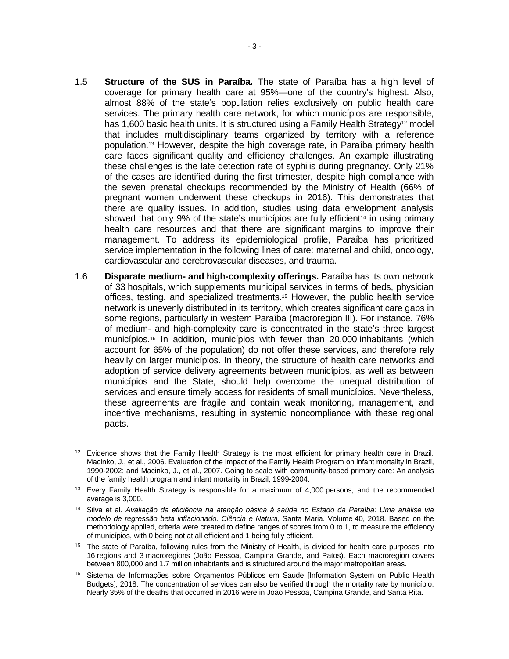- 1.5 **Structure of the SUS in Paraíba.** The state of Paraíba has a high level of coverage for primary health care at 95%—one of the country's highest. Also, almost 88% of the state's population relies exclusively on public health care services. The primary health care network, for which municípios are responsible, has 1,600 basic health units. It is structured using a Family Health Strategy<sup>12</sup> model that includes multidisciplinary teams organized by territory with a reference population.<sup>13</sup> However, despite the high coverage rate, in Paraíba primary health care faces significant quality and efficiency challenges. An example illustrating these challenges is the late detection rate of syphilis during pregnancy. Only 21% of the cases are identified during the first trimester, despite high compliance with the seven prenatal checkups recommended by the Ministry of Health (66% of pregnant women underwent these checkups in 2016). This demonstrates that there are quality issues. In addition, studies using data envelopment analysis showed that only 9% of the state's municípios are fully efficient<sup>14</sup> in using primary health care resources and that there are significant margins to improve their management. To address its epidemiological profile, Paraíba has prioritized service implementation in the following lines of care: maternal and child, oncology, cardiovascular and cerebrovascular diseases, and trauma.
- 1.6 **Disparate medium- and high-complexity offerings.** Paraíba has its own network of 33 hospitals, which supplements municipal services in terms of beds, physician offices, testing, and specialized treatments.<sup>15</sup> However, the public health service network is unevenly distributed in its territory, which creates significant care gaps in some regions, particularly in western Paraíba (macroregion III). For instance, 76% of medium- and high-complexity care is concentrated in the state's three largest municípios.<sup>16</sup> In addition, municípios with fewer than 20,000 inhabitants (which account for 65% of the population) do not offer these services, and therefore rely heavily on larger municípios. In theory, the structure of health care networks and adoption of service delivery agreements between municípios, as well as between municípios and the State, should help overcome the unequal distribution of services and ensure timely access for residents of small municípios. Nevertheless, these agreements are fragile and contain weak monitoring, management, and incentive mechanisms, resulting in systemic noncompliance with these regional pacts.

 $\overline{a}$  $12$  Evidence shows that the Family Health Strategy is the most efficient for primary health care in Brazil. Macinko, J., et al., 2006. Evaluation of the impact of the Family Health Program on infant mortality in Brazil, 1990-2002; and Macinko, J., et al., 2007. Going to scale with community-based primary care: An analysis of the family health program and infant mortality in Brazil, 1999-2004.

<sup>&</sup>lt;sup>13</sup> Every Family Health Strategy is responsible for a maximum of 4,000 persons, and the recommended average is 3,000.

<sup>14</sup> Silva et al. *Avaliação da eficiência na atenção básica à saúde no Estado da Paraíba: Uma análise via modelo de regressão beta inflacionado. Ciência e Natura,* Santa Maria. Volume 40, 2018. Based on the methodology applied, criteria were created to define ranges of scores from 0 to 1, to measure the efficiency of municípios, with 0 being not at all efficient and 1 being fully efficient.

<sup>&</sup>lt;sup>15</sup> The state of Paraíba, following rules from the Ministry of Health, is divided for health care purposes into 16 regions and 3 macroregions (João Pessoa, Campina Grande, and Patos). Each macroregion covers between 800,000 and 1.7 million inhabitants and is structured around the major metropolitan areas.

<sup>&</sup>lt;sup>16</sup> Sistema de Informações sobre Orçamentos Públicos em Saúde [Information System on Public Health Budgets], 2018. The concentration of services can also be verified through the mortality rate by município. Nearly 35% of the deaths that occurred in 2016 were in João Pessoa, Campina Grande, and Santa Rita.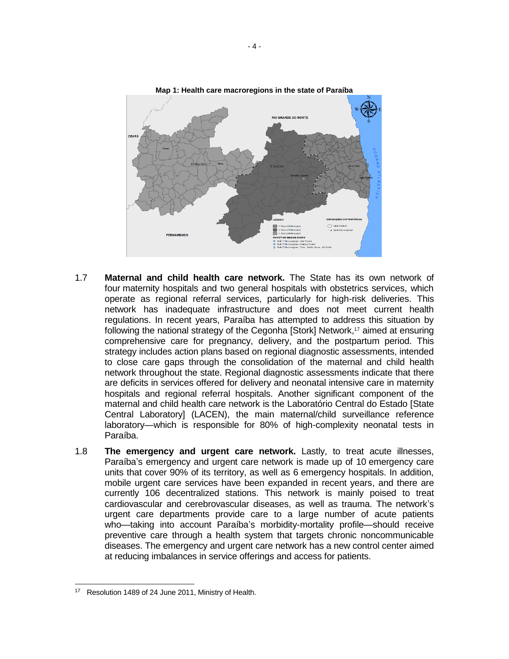

- 1.7 **Maternal and child health care network.** The State has its own network of four maternity hospitals and two general hospitals with obstetrics services, which operate as regional referral services, particularly for high-risk deliveries. This network has inadequate infrastructure and does not meet current health regulations. In recent years, Paraíba has attempted to address this situation by following the national strategy of the Cegonha [Stork] Network,<sup>17</sup> aimed at ensuring comprehensive care for pregnancy, delivery, and the postpartum period. This strategy includes action plans based on regional diagnostic assessments, intended to close care gaps through the consolidation of the maternal and child health network throughout the state. Regional diagnostic assessments indicate that there are deficits in services offered for delivery and neonatal intensive care in maternity hospitals and regional referral hospitals. Another significant component of the maternal and child health care network is the Laboratório Central do Estado [State Central Laboratory] (LACEN), the main maternal/child surveillance reference laboratory—which is responsible for 80% of high-complexity neonatal tests in Paraíba.
- 1.8 **The emergency and urgent care network.** Lastly, to treat acute illnesses, Paraíba's emergency and urgent care network is made up of 10 emergency care units that cover 90% of its territory, as well as 6 emergency hospitals. In addition, mobile urgent care services have been expanded in recent years, and there are currently 106 decentralized stations. This network is mainly poised to treat cardiovascular and cerebrovascular diseases, as well as trauma. The network's urgent care departments provide care to a large number of acute patients who—taking into account Paraíba's morbidity-mortality profile—should receive preventive care through a health system that targets chronic noncommunicable diseases. The emergency and urgent care network has a new control center aimed at reducing imbalances in service offerings and access for patients.

<sup>&</sup>lt;sup>17</sup> Resolution 1489 of 24 June 2011, Ministry of Health.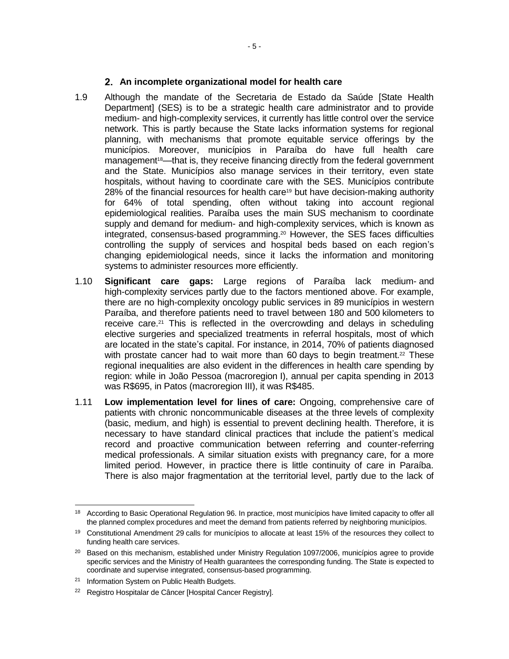### **An incomplete organizational model for health care**

- 1.9 Although the mandate of the Secretaria de Estado da Saúde [State Health Department] (SES) is to be a strategic health care administrator and to provide medium- and high-complexity services, it currently has little control over the service network. This is partly because the State lacks information systems for regional planning, with mechanisms that promote equitable service offerings by the municípios. Moreover, municípios in Paraíba do have full health care management<sup>18</sup>—that is, they receive financing directly from the federal government and the State. Municípios also manage services in their territory, even state hospitals, without having to coordinate care with the SES. Municípios contribute 28% of the financial resources for health care<sup>19</sup> but have decision-making authority for 64% of total spending, often without taking into account regional epidemiological realities. Paraíba uses the main SUS mechanism to coordinate supply and demand for medium- and high-complexity services, which is known as integrated, consensus-based programming.<sup>20</sup> However, the SES faces difficulties controlling the supply of services and hospital beds based on each region's changing epidemiological needs, since it lacks the information and monitoring systems to administer resources more efficiently.
- 1.10 **Significant care gaps:** Large regions of Paraíba lack medium- and high-complexity services partly due to the factors mentioned above. For example, there are no high-complexity oncology public services in 89 municípios in western Paraíba, and therefore patients need to travel between 180 and 500 kilometers to receive care.<sup>21</sup> This is reflected in the overcrowding and delays in scheduling elective surgeries and specialized treatments in referral hospitals, most of which are located in the state's capital. For instance, in 2014, 70% of patients diagnosed with prostate cancer had to wait more than 60 days to begin treatment.<sup>22</sup> These regional inequalities are also evident in the differences in health care spending by region: while in João Pessoa (macroregion I), annual per capita spending in 2013 was R\$695, in Patos (macroregion III), it was R\$485.
- 1.11 **Low implementation level for lines of care:** Ongoing, comprehensive care of patients with chronic noncommunicable diseases at the three levels of complexity (basic, medium, and high) is essential to prevent declining health. Therefore, it is necessary to have standard clinical practices that include the patient's medical record and proactive communication between referring and counter-referring medical professionals. A similar situation exists with pregnancy care, for a more limited period. However, in practice there is little continuity of care in Paraíba. There is also major fragmentation at the territorial level, partly due to the lack of

 $\overline{a}$ 

<sup>&</sup>lt;sup>18</sup> According to Basic Operational Regulation 96. In practice, most municípios have limited capacity to offer all the planned complex procedures and meet the demand from patients referred by neighboring municípios.

<sup>&</sup>lt;sup>19</sup> Constitutional Amendment 29 calls for municípios to allocate at least 15% of the resources they collect to funding health care services.

<sup>&</sup>lt;sup>20</sup> Based on this mechanism, established under Ministry Regulation 1097/2006, municípios agree to provide specific services and the Ministry of Health guarantees the corresponding funding. The State is expected to coordinate and supervise integrated, consensus-based programming.

<sup>&</sup>lt;sup>21</sup> Information System on Public Health Budgets.

<sup>&</sup>lt;sup>22</sup> Registro Hospitalar de Câncer [Hospital Cancer Registry].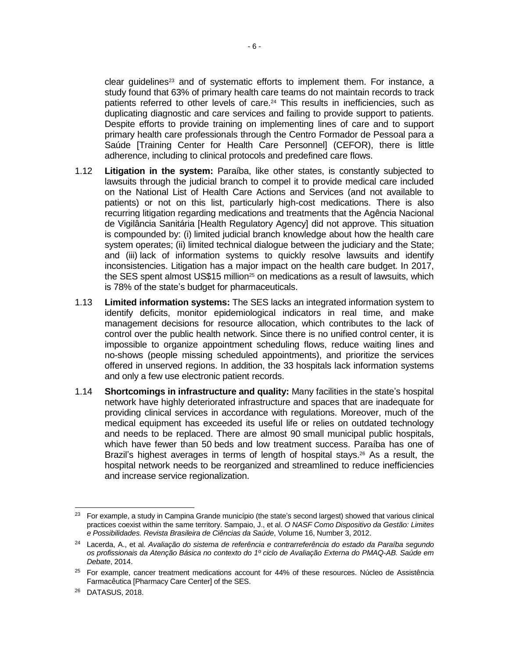clear guidelines<sup>23</sup> and of systematic efforts to implement them. For instance, a study found that 63% of primary health care teams do not maintain records to track patients referred to other levels of care.<sup>24</sup> This results in inefficiencies, such as duplicating diagnostic and care services and failing to provide support to patients. Despite efforts to provide training on implementing lines of care and to support primary health care professionals through the Centro Formador de Pessoal para a Saúde [Training Center for Health Care Personnel] (CEFOR), there is little adherence, including to clinical protocols and predefined care flows.

- 1.12 **Litigation in the system:** Paraíba, like other states, is constantly subjected to lawsuits through the judicial branch to compel it to provide medical care included on the National List of Health Care Actions and Services (and not available to patients) or not on this list, particularly high-cost medications. There is also recurring litigation regarding medications and treatments that the Agência Nacional de Vigilância Sanitária [Health Regulatory Agency] did not approve. This situation is compounded by: (i) limited judicial branch knowledge about how the health care system operates; (ii) limited technical dialogue between the judiciary and the State; and (iii) lack of information systems to quickly resolve lawsuits and identify inconsistencies. Litigation has a major impact on the health care budget. In 2017, the SES spent almost US\$15 million<sup>25</sup> on medications as a result of lawsuits, which is 78% of the state's budget for pharmaceuticals.
- 1.13 **Limited information systems:** The SES lacks an integrated information system to identify deficits, monitor epidemiological indicators in real time, and make management decisions for resource allocation, which contributes to the lack of control over the public health network. Since there is no unified control center, it is impossible to organize appointment scheduling flows, reduce waiting lines and no-shows (people missing scheduled appointments), and prioritize the services offered in unserved regions. In addition, the 33 hospitals lack information systems and only a few use electronic patient records.
- 1.14 **Shortcomings in infrastructure and quality:** Many facilities in the state's hospital network have highly deteriorated infrastructure and spaces that are inadequate for providing clinical services in accordance with regulations. Moreover, much of the medical equipment has exceeded its useful life or relies on outdated technology and needs to be replaced. There are almost 90 small municipal public hospitals, which have fewer than 50 beds and low treatment success. Paraíba has one of Brazil's highest averages in terms of length of hospital stays. <sup>26</sup> As a result, the hospital network needs to be reorganized and streamlined to reduce inefficiencies and increase service regionalization.

 $\overline{a}$ <sup>23</sup> For example, a study in Campina Grande município (the state's second largest) showed that various clinical practices coexist within the same territory. Sampaio, J., et al. *O NASF Como Dispositivo da Gestão: Limites e Possibilidades. Revista Brasileira de Ciências da Saúde*, Volume 16, Number 3, 2012.

<sup>24</sup> Lacerda, A., et al*. Avaliação do sistema de referência e contrarreferência do estado da Paraíba segundo os profissionais da Atenção Básica no contexto do 1º ciclo de Avaliação Externa do PMAQ-AB. Saúde em Debate*, 2014.

<sup>&</sup>lt;sup>25</sup> For example, cancer treatment medications account for 44% of these resources. Núcleo de Assistência Farmacêutica [Pharmacy Care Center] of the SES.

<sup>26</sup> DATASUS, 2018.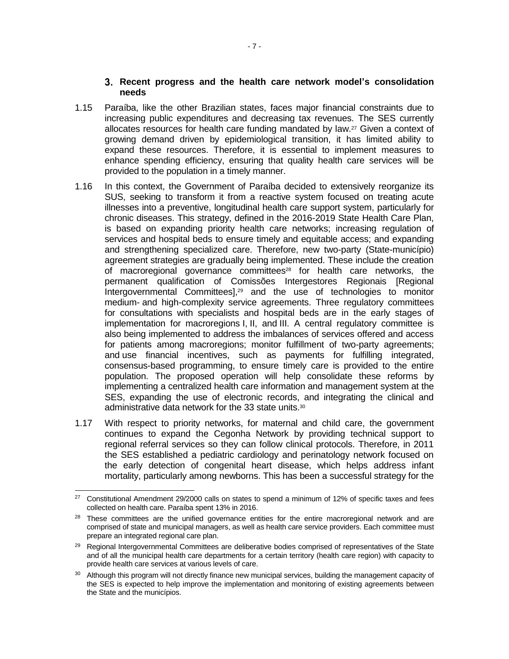#### **Recent progress and the health care network model's consolidation needs**

- 1.15 Paraíba, like the other Brazilian states, faces major financial constraints due to increasing public expenditures and decreasing tax revenues. The SES currently allocates resources for health care funding mandated by law.<sup>27</sup> Given a context of growing demand driven by epidemiological transition, it has limited ability to expand these resources. Therefore, it is essential to implement measures to enhance spending efficiency, ensuring that quality health care services will be provided to the population in a timely manner.
- 1.16 In this context, the Government of Paraíba decided to extensively reorganize its SUS, seeking to transform it from a reactive system focused on treating acute illnesses into a preventive, longitudinal health care support system, particularly for chronic diseases. This strategy, defined in the 2016-2019 State Health Care Plan, is based on expanding priority health care networks; increasing regulation of services and hospital beds to ensure timely and equitable access; and expanding and strengthening specialized care. Therefore, new two-party (State-município) agreement strategies are gradually being implemented. These include the creation of macroregional governance committees<sup>28</sup> for health care networks, the permanent qualification of Comissões Intergestores Regionais [Regional Intergovernmental Committees],<sup>29</sup> and the use of technologies to monitor medium- and high-complexity service agreements. Three regulatory committees for consultations with specialists and hospital beds are in the early stages of implementation for macroregions I, II, and III. A central regulatory committee is also being implemented to address the imbalances of services offered and access for patients among macroregions; monitor fulfillment of two-party agreements; and use financial incentives, such as payments for fulfilling integrated, consensus-based programming, to ensure timely care is provided to the entire population. The proposed operation will help consolidate these reforms by implementing a centralized health care information and management system at the SES, expanding the use of electronic records, and integrating the clinical and administrative data network for the 33 state units.<sup>30</sup>
- 1.17 With respect to priority networks, for maternal and child care, the government continues to expand the Cegonha Network by providing technical support to regional referral services so they can follow clinical protocols. Therefore, in 2011 the SES established a pediatric cardiology and perinatology network focused on the early detection of congenital heart disease, which helps address infant mortality, particularly among newborns. This has been a successful strategy for the

 $\overline{a}$  $27$  Constitutional Amendment 29/2000 calls on states to spend a minimum of 12% of specific taxes and fees collected on health care. Paraíba spent 13% in 2016.

<sup>&</sup>lt;sup>28</sup> These committees are the unified governance entities for the entire macroregional network and are comprised of state and municipal managers, as well as health care service providers. Each committee must prepare an integrated regional care plan.

<sup>&</sup>lt;sup>29</sup> Regional Intergovernmental Committees are deliberative bodies comprised of representatives of the State and of all the municipal health care departments for a certain territory (health care region) with capacity to provide health care services at various levels of care.

<sup>30</sup> Although this program will not directly finance new municipal services, building the management capacity of the SES is expected to help improve the implementation and monitoring of existing agreements between the State and the municípios.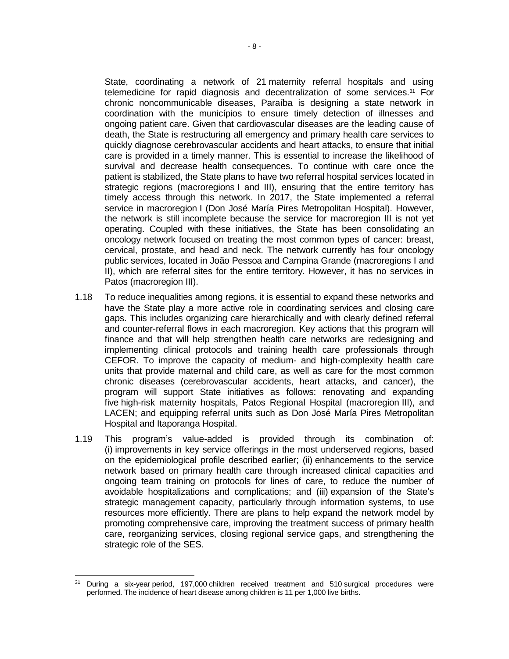State, coordinating a network of 21 maternity referral hospitals and using telemedicine for rapid diagnosis and decentralization of some services.<sup>31</sup> For chronic noncommunicable diseases, Paraíba is designing a state network in coordination with the municípios to ensure timely detection of illnesses and ongoing patient care. Given that cardiovascular diseases are the leading cause of death, the State is restructuring all emergency and primary health care services to quickly diagnose cerebrovascular accidents and heart attacks, to ensure that initial care is provided in a timely manner. This is essential to increase the likelihood of survival and decrease health consequences. To continue with care once the patient is stabilized, the State plans to have two referral hospital services located in strategic regions (macroregions I and III), ensuring that the entire territory has timely access through this network. In 2017, the State implemented a referral service in macroregion I (Don José María Pires Metropolitan Hospital). However, the network is still incomplete because the service for macroregion III is not yet operating. Coupled with these initiatives, the State has been consolidating an oncology network focused on treating the most common types of cancer: breast, cervical, prostate, and head and neck. The network currently has four oncology public services, located in João Pessoa and Campina Grande (macroregions I and II), which are referral sites for the entire territory. However, it has no services in Patos (macroregion III).

- 1.18 To reduce inequalities among regions, it is essential to expand these networks and have the State play a more active role in coordinating services and closing care gaps. This includes organizing care hierarchically and with clearly defined referral and counter-referral flows in each macroregion. Key actions that this program will finance and that will help strengthen health care networks are redesigning and implementing clinical protocols and training health care professionals through CEFOR. To improve the capacity of medium- and high-complexity health care units that provide maternal and child care, as well as care for the most common chronic diseases (cerebrovascular accidents, heart attacks, and cancer), the program will support State initiatives as follows: renovating and expanding five high-risk maternity hospitals, Patos Regional Hospital (macroregion III), and LACEN; and equipping referral units such as Don José María Pires Metropolitan Hospital and Itaporanga Hospital.
- 1.19 This program's value-added is provided through its combination of: (i) improvements in key service offerings in the most underserved regions, based on the epidemiological profile described earlier; (ii) enhancements to the service network based on primary health care through increased clinical capacities and ongoing team training on protocols for lines of care, to reduce the number of avoidable hospitalizations and complications; and (iii) expansion of the State's strategic management capacity, particularly through information systems, to use resources more efficiently. There are plans to help expand the network model by promoting comprehensive care, improving the treatment success of primary health care, reorganizing services, closing regional service gaps, and strengthening the strategic role of the SES.

 $\overline{a}$ <sup>31</sup> During a six-year period, 197,000 children received treatment and 510 surgical procedures were performed. The incidence of heart disease among children is 11 per 1,000 live births.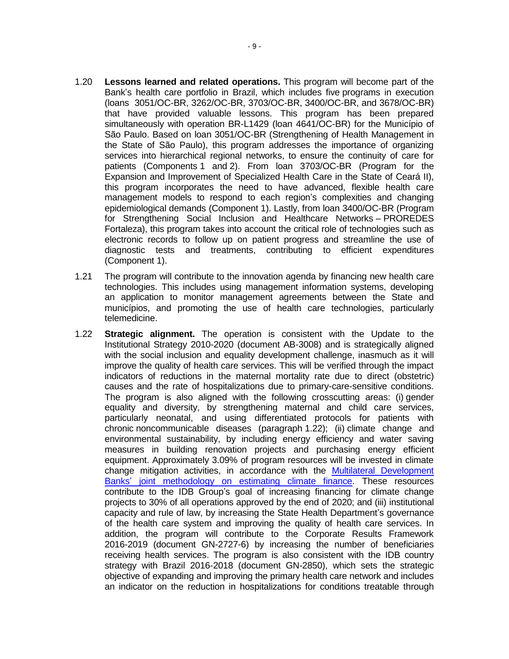- 1.20 **Lessons learned and related operations.** This program will become part of the Bank's health care portfolio in Brazil, which includes five programs in execution (loans 3051/OC-BR, 3262/OC-BR, 3703/OC-BR, 3400/OC-BR, and 3678/OC-BR) that have provided valuable lessons. This program has been prepared simultaneously with operation BR-L1429 (loan 4641/OC-BR) for the Município of São Paulo. Based on loan 3051/OC-BR (Strengthening of Health Management in the State of São Paulo), this program addresses the importance of organizing services into hierarchical regional networks, to ensure the continuity of care for patients (Components 1 and 2). From loan 3703/OC-BR (Program for the Expansion and Improvement of Specialized Health Care in the State of Ceará II), this program incorporates the need to have advanced, flexible health care management models to respond to each region's complexities and changing epidemiological demands (Component 1). Lastly, from loan 3400/OC-BR (Program for Strengthening Social Inclusion and Healthcare Networks – PROREDES Fortaleza), this program takes into account the critical role of technologies such as electronic records to follow up on patient progress and streamline the use of diagnostic tests and treatments, contributing to efficient expenditures (Component 1).
- 1.21 The program will contribute to the innovation agenda by financing new health care technologies. This includes using management information systems, developing an application to monitor management agreements between the State and municípios, and promoting the use of health care technologies, particularly telemedicine.
- 1.22 **Strategic alignment.** The operation is consistent with the Update to the Institutional Strategy 2010-2020 (document AB-3008) and is strategically aligned with the social inclusion and equality development challenge, inasmuch as it will improve the quality of health care services. This will be verified through the impact indicators of reductions in the maternal mortality rate due to direct (obstetric) causes and the rate of hospitalizations due to primary-care-sensitive conditions. The program is also aligned with the following crosscutting areas: (i) gender equality and diversity, by strengthening maternal and child care services, particularly neonatal, and using differentiated protocols for patients with chronic noncommunicable diseases (paragraph 1.22); (ii) climate change and environmental sustainability, by including energy efficiency and water saving measures in building renovation projects and purchasing energy efficient equipment. Approximately 3.09% of program resources will be invested in climate change mitigation activities, in accordance with the [Multilateral Development](https://publications.iadb.org/handle/11319/9163)  Banks' [joint methodology on estimating climate finance.](https://publications.iadb.org/handle/11319/9163) These resources contribute to the IDB Group's goal of increasing financing for climate change projects to 30% of all operations approved by the end of 2020; and (iii) institutional capacity and rule of law, by increasing the State Health Department's governance of the health care system and improving the quality of health care services. In addition, the program will contribute to the Corporate Results Framework 2016-2019 (document GN-2727-6) by increasing the number of beneficiaries receiving health services. The program is also consistent with the IDB country strategy with Brazil 2016-2018 (document GN-2850), which sets the strategic objective of expanding and improving the primary health care network and includes an indicator on the reduction in hospitalizations for conditions treatable through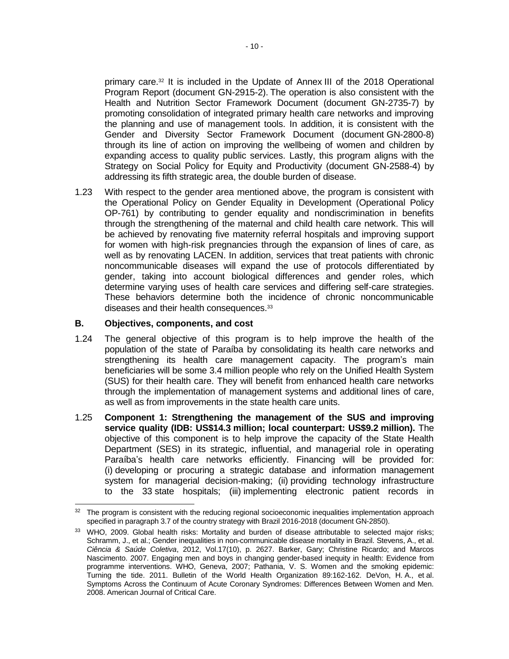primary care.<sup>32</sup> It is included in the Update of Annex III of the 2018 Operational Program Report (document GN-2915-2). The operation is also consistent with the Health and Nutrition Sector Framework Document (document GN-2735-7) by promoting consolidation of integrated primary health care networks and improving the planning and use of management tools. In addition, it is consistent with the Gender and Diversity Sector Framework Document (document GN-2800-8) through its line of action on improving the wellbeing of women and children by expanding access to quality public services. Lastly, this program aligns with the Strategy on Social Policy for Equity and Productivity (document GN-2588-4) by addressing its fifth strategic area, the double burden of disease.

1.23 With respect to the gender area mentioned above, the program is consistent with the Operational Policy on Gender Equality in Development (Operational Policy OP-761) by contributing to gender equality and nondiscrimination in benefits through the strengthening of the maternal and child health care network. This will be achieved by renovating five maternity referral hospitals and improving support for women with high-risk pregnancies through the expansion of lines of care, as well as by renovating LACEN. In addition, services that treat patients with chronic noncommunicable diseases will expand the use of protocols differentiated by gender, taking into account biological differences and gender roles, which determine varying uses of health care services and differing self-care strategies. These behaviors determine both the incidence of chronic noncommunicable diseases and their health consequences.<sup>33</sup>

### **B. Objectives, components, and cost**

- 1.24 The general objective of this program is to help improve the health of the population of the state of Paraíba by consolidating its health care networks and strengthening its health care management capacity. The program's main beneficiaries will be some 3.4 million people who rely on the Unified Health System (SUS) for their health care. They will benefit from enhanced health care networks through the implementation of management systems and additional lines of care, as well as from improvements in the state health care units.
- 1.25 **Component 1: Strengthening the management of the SUS and improving service quality (IDB: US\$14.3 million; local counterpart: US\$9.2 million).** The objective of this component is to help improve the capacity of the State Health Department (SES) in its strategic, influential, and managerial role in operating Paraíba's health care networks efficiently. Financing will be provided for: (i) developing or procuring a strategic database and information management system for managerial decision-making; (ii) providing technology infrastructure to the 33 state hospitals; (iii) implementing electronic patient records in

  $32$  The program is consistent with the reducing regional socioeconomic inequalities implementation approach specified in paragraph 3.7 of the country strategy with Brazil 2016-2018 (document GN-2850).

<sup>33</sup> WHO, 2009. Global health risks: Mortality and burden of disease attributable to selected major risks; Schramm, J., et al.; Gender inequalities in non-communicable disease mortality in Brazil. Stevens, A., et al. *Ciência & Saúde Coletiva*, 2012, Vol.17(10), p. 2627. Barker, Gary; Christine Ricardo; and Marcos Nascimento. 2007. Engaging men and boys in changing gender-based inequity in health: Evidence from programme interventions. WHO, Geneva, 2007; Pathania, V. S. Women and the smoking epidemic: Turning the tide. 2011. Bulletin of the World Health Organization 89:162-162. DeVon, H. A., et al. Symptoms Across the Continuum of Acute Coronary Syndromes: Differences Between Women and Men. 2008. American Journal of Critical Care.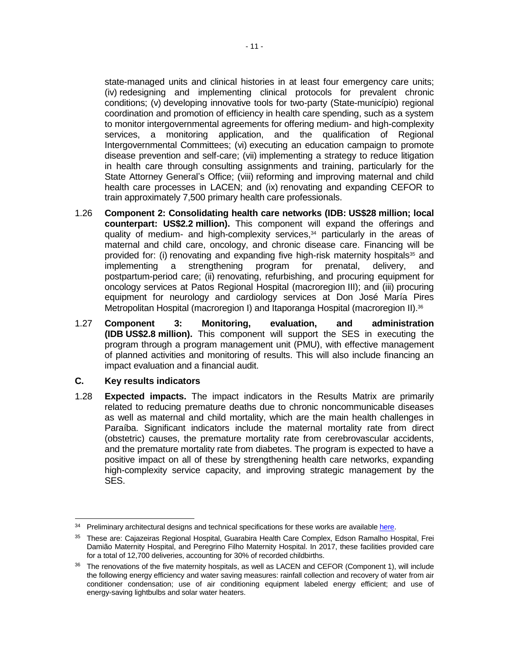state-managed units and clinical histories in at least four emergency care units; (iv) redesigning and implementing clinical protocols for prevalent chronic conditions; (v) developing innovative tools for two-party (State-município) regional coordination and promotion of efficiency in health care spending, such as a system to monitor intergovernmental agreements for offering medium- and high-complexity services, a monitoring application, and the qualification of Regional Intergovernmental Committees; (vi) executing an education campaign to promote disease prevention and self-care; (vii) implementing a strategy to reduce litigation in health care through consulting assignments and training, particularly for the State Attorney General's Office; (viii) reforming and improving maternal and child health care processes in LACEN; and (ix) renovating and expanding CEFOR to train approximately 7,500 primary health care professionals.

- 1.26 **Component 2: Consolidating health care networks (IDB: US\$28 million; local counterpart: US\$2.2 million).** This component will expand the offerings and quality of medium- and high-complexity services,<sup>34</sup> particularly in the areas of maternal and child care, oncology, and chronic disease care. Financing will be provided for: (i) renovating and expanding five high-risk maternity hospitals<sup>35</sup> and implementing a strengthening program for prenatal, delivery, and postpartum-period care; (ii) renovating, refurbishing, and procuring equipment for oncology services at Patos Regional Hospital (macroregion III); and (iii) procuring equipment for neurology and cardiology services at Don José María Pires Metropolitan Hospital (macroregion I) and Itaporanga Hospital (macroregion II).<sup>36</sup>
- 1.27 **Component 3: Monitoring, evaluation, and administration (IDB US\$2.8 million).** This component will support the SES in executing the program through a program management unit (PMU), with effective management of planned activities and monitoring of results. This will also include financing an impact evaluation and a financial audit.

### **C. Key results indicators**

1.28 **Expected impacts.** The impact indicators in the Results Matrix are primarily related to reducing premature deaths due to chronic noncommunicable diseases as well as maternal and child mortality, which are the main health challenges in Paraíba. Significant indicators include the maternal mortality rate from direct (obstetric) causes, the premature mortality rate from cerebrovascular accidents, and the premature mortality rate from diabetes. The program is expected to have a positive impact on all of these by strengthening health care networks, expanding high-complexity service capacity, and improving strategic management by the SES.

 <sup>34</sup> Preliminary architectural designs and technical specifications for these works are available [here.](http://idbdocs.iadb.org/wsdocs/getDocument.aspx?DOCNUM=EZSHARE-1515354007-73)

<sup>35</sup> These are: Cajazeiras Regional Hospital, Guarabira Health Care Complex, Edson Ramalho Hospital, Frei Damião Maternity Hospital, and Peregrino Filho Maternity Hospital. In 2017, these facilities provided care for a total of 12,700 deliveries, accounting for 30% of recorded childbirths.

<sup>&</sup>lt;sup>36</sup> The renovations of the five maternity hospitals, as well as LACEN and CEFOR (Component 1), will include the following energy efficiency and water saving measures: rainfall collection and recovery of water from air conditioner condensation; use of air conditioning equipment labeled energy efficient; and use of energy-saving lightbulbs and solar water heaters.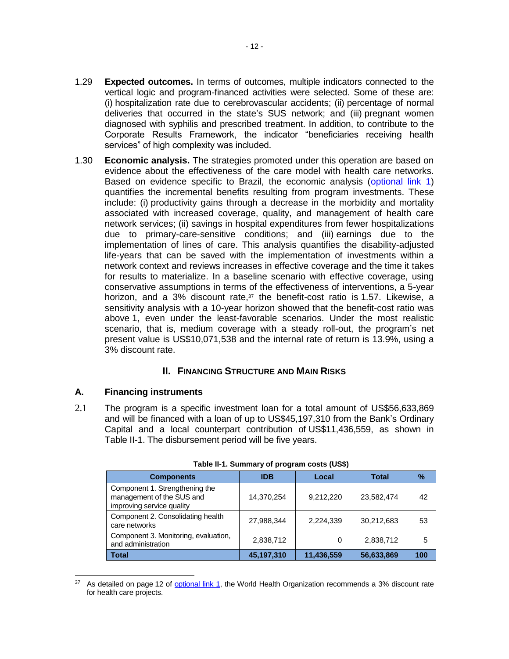- 1.29 **Expected outcomes.** In terms of outcomes, multiple indicators connected to the vertical logic and program-financed activities were selected. Some of these are: (i) hospitalization rate due to cerebrovascular accidents; (ii) percentage of normal deliveries that occurred in the state's SUS network; and (iii) pregnant women diagnosed with syphilis and prescribed treatment. In addition, to contribute to the Corporate Results Framework, the indicator "beneficiaries receiving health services" of high complexity was included.
- 1.30 **Economic analysis.** The strategies promoted under this operation are based on evidence about the effectiveness of the care model with health care networks. Based on evidence specific to Brazil, the economic analysis [\(optional link 1\)](http://idbdocs.iadb.org/wsdocs/getDocument.aspx?DOCNUM=EZSHARE-1515354007-74) quantifies the incremental benefits resulting from program investments. These include: (i) productivity gains through a decrease in the morbidity and mortality associated with increased coverage, quality, and management of health care network services; (ii) savings in hospital expenditures from fewer hospitalizations due to primary-care-sensitive conditions; and (iii) earnings due to the implementation of lines of care. This analysis quantifies the disability-adjusted life-years that can be saved with the implementation of investments within a network context and reviews increases in effective coverage and the time it takes for results to materialize. In a baseline scenario with effective coverage, using conservative assumptions in terms of the effectiveness of interventions, a 5-year horizon, and a 3% discount rate, $37$  the benefit-cost ratio is 1.57. Likewise, a sensitivity analysis with a 10-year horizon showed that the benefit-cost ratio was above 1, even under the least-favorable scenarios. Under the most realistic scenario, that is, medium coverage with a steady roll-out, the program's net present value is US\$10,071,538 and the internal rate of return is 13.9%, using a 3% discount rate.

## **II. FINANCING STRUCTURE AND MAIN RISKS**

## **A. Financing instruments**

 $\overline{a}$ 

2.1 The program is a specific investment loan for a total amount of US\$56,633,869 and will be financed with a loan of up to US\$45,197,310 from the Bank's Ordinary Capital and a local counterpart contribution of US\$11,436,559, as shown in Table II-1. The disbursement period will be five years.

| <b>Components</b>                                                                        | <b>IDB</b> | Local      | <b>Total</b> | ℅   |
|------------------------------------------------------------------------------------------|------------|------------|--------------|-----|
| Component 1. Strengthening the<br>management of the SUS and<br>improving service quality | 14,370,254 | 9,212,220  | 23,582,474   | 42  |
| Component 2. Consolidating health<br>care networks                                       | 27,988,344 | 2,224,339  | 30,212,683   | 53  |
| Component 3. Monitoring, evaluation,<br>and administration                               | 2,838,712  |            | 2,838,712    | 5   |
| <b>Total</b>                                                                             | 45,197,310 | 11,436,559 | 56,633,869   | 100 |

**Table II-1. Summary of program costs (US\$)**

<sup>&</sup>lt;sup>37</sup> As detailed on page 12 of **optional link 1**, the World Health Organization recommends a 3% discount rate for health care projects.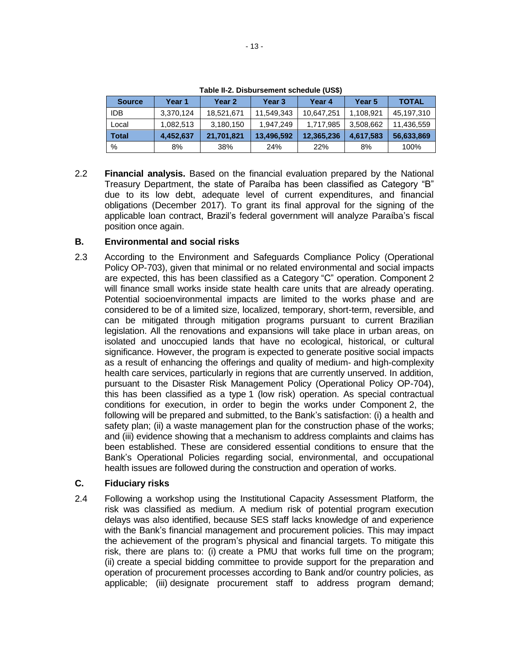| <b>Source</b> | Year 1    | Year 2     | Year 3     | Year 4     | Year 5    | <b>TOTAL</b> |
|---------------|-----------|------------|------------|------------|-----------|--------------|
| <b>IDB</b>    | 3,370,124 | 18,521,671 | 11,549,343 | 10,647,251 | 1,108,921 | 45,197,310   |
| Local         | 1,082,513 | 3,180,150  | 1.947.249  | 1,717,985  | 3,508,662 | 11,436,559   |
| <b>Total</b>  | 4,452,637 | 21,701,821 | 13,496,592 | 12,365,236 | 4,617,583 | 56,633,869   |
| %             | 8%        | 38%        | 24%        | 22%        | 8%        | 100%         |

**Table II-2. Disbursement schedule (US\$)**

2.2 **Financial analysis.** Based on the financial evaluation prepared by the National Treasury Department, the state of Paraíba has been classified as Category "B" due to its low debt, adequate level of current expenditures, and financial obligations (December 2017). To grant its final approval for the signing of the applicable loan contract, Brazil's federal government will analyze Paraíba's fiscal position once again.

## **B. Environmental and social risks**

2.3 According to the Environment and Safeguards Compliance Policy (Operational Policy OP-703), given that minimal or no related environmental and social impacts are expected, this has been classified as a Category "C" operation. Component 2 will finance small works inside state health care units that are already operating. Potential socioenvironmental impacts are limited to the works phase and are considered to be of a limited size, localized, temporary, short-term, reversible, and can be mitigated through mitigation programs pursuant to current Brazilian legislation. All the renovations and expansions will take place in urban areas, on isolated and unoccupied lands that have no ecological, historical, or cultural significance. However, the program is expected to generate positive social impacts as a result of enhancing the offerings and quality of medium- and high-complexity health care services, particularly in regions that are currently unserved. In addition, pursuant to the Disaster Risk Management Policy (Operational Policy OP-704), this has been classified as a type 1 (low risk) operation. As special contractual conditions for execution, in order to begin the works under Component 2, the following will be prepared and submitted, to the Bank's satisfaction: (i) a health and safety plan; (ii) a waste management plan for the construction phase of the works; and (iii) evidence showing that a mechanism to address complaints and claims has been established. These are considered essential conditions to ensure that the Bank's Operational Policies regarding social, environmental, and occupational health issues are followed during the construction and operation of works.

## **C. Fiduciary risks**

2.4 Following a workshop using the Institutional Capacity Assessment Platform, the risk was classified as medium. A medium risk of potential program execution delays was also identified, because SES staff lacks knowledge of and experience with the Bank's financial management and procurement policies. This may impact the achievement of the program's physical and financial targets. To mitigate this risk, there are plans to: (i) create a PMU that works full time on the program; (ii) create a special bidding committee to provide support for the preparation and operation of procurement processes according to Bank and/or country policies, as applicable; (iii) designate procurement staff to address program demand;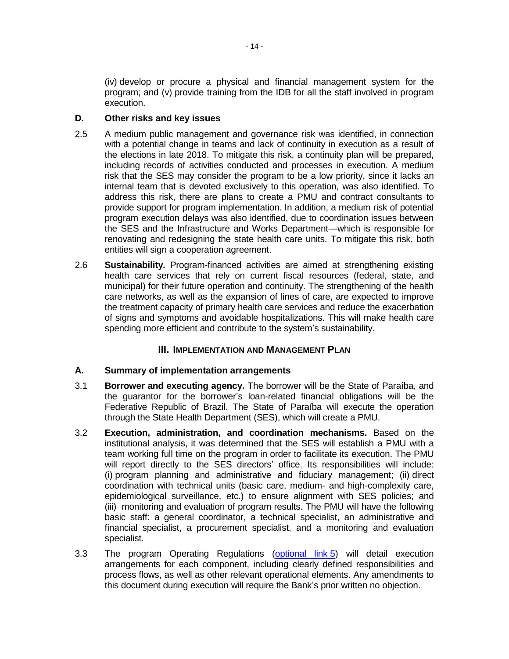(iv) develop or procure a physical and financial management system for the program; and (v) provide training from the IDB for all the staff involved in program execution.

## **D. Other risks and key issues**

- 2.5 A medium public management and governance risk was identified, in connection with a potential change in teams and lack of continuity in execution as a result of the elections in late 2018. To mitigate this risk, a continuity plan will be prepared, including records of activities conducted and processes in execution. A medium risk that the SES may consider the program to be a low priority, since it lacks an internal team that is devoted exclusively to this operation, was also identified. To address this risk, there are plans to create a PMU and contract consultants to provide support for program implementation. In addition, a medium risk of potential program execution delays was also identified, due to coordination issues between the SES and the Infrastructure and Works Department—which is responsible for renovating and redesigning the state health care units. To mitigate this risk, both entities will sign a cooperation agreement.
- 2.6 **Sustainability.** Program-financed activities are aimed at strengthening existing health care services that rely on current fiscal resources (federal, state, and municipal) for their future operation and continuity. The strengthening of the health care networks, as well as the expansion of lines of care, are expected to improve the treatment capacity of primary health care services and reduce the exacerbation of signs and symptoms and avoidable hospitalizations. This will make health care spending more efficient and contribute to the system's sustainability.

## **III. IMPLEMENTATION AND MANAGEMENT PLAN**

## **A. Summary of implementation arrangements**

- 3.1 **Borrower and executing agency.** The borrower will be the State of Paraíba, and the guarantor for the borrower's loan-related financial obligations will be the Federative Republic of Brazil. The State of Paraíba will execute the operation through the State Health Department (SES), which will create a PMU.
- 3.2 **Execution, administration, and coordination mechanisms.** Based on the institutional analysis, it was determined that the SES will establish a PMU with a team working full time on the program in order to facilitate its execution. The PMU will report directly to the SES directors' office. Its responsibilities will include: (i) program planning and administrative and fiduciary management; (ii) direct coordination with technical units (basic care, medium- and high-complexity care, epidemiological surveillance, etc.) to ensure alignment with SES policies; and (iii) monitoring and evaluation of program results. The PMU will have the following basic staff: a general coordinator, a technical specialist, an administrative and financial specialist, a procurement specialist, and a monitoring and evaluation specialist.
- 3.3 The program Operating Regulations [\(optional link](http://idbdocs.iadb.org/wsdocs/getDocument.aspx?DOCNUM=EZSHARE-1515354007-103) 5) will detail execution arrangements for each component, including clearly defined responsibilities and process flows, as well as other relevant operational elements. Any amendments to this document during execution will require the Bank's prior written no objection.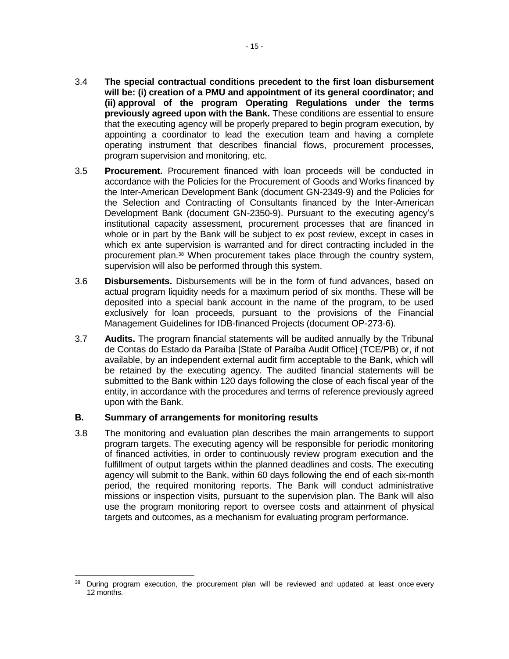- 3.4 **The special contractual conditions precedent to the first loan disbursement will be: (i) creation of a PMU and appointment of its general coordinator; and (ii) approval of the program Operating Regulations under the terms previously agreed upon with the Bank.** These conditions are essential to ensure that the executing agency will be properly prepared to begin program execution, by appointing a coordinator to lead the execution team and having a complete operating instrument that describes financial flows, procurement processes, program supervision and monitoring, etc.
- 3.5 **Procurement.** Procurement financed with loan proceeds will be conducted in accordance with the Policies for the Procurement of Goods and Works financed by the Inter-American Development Bank (document GN-2349-9) and the Policies for the Selection and Contracting of Consultants financed by the Inter-American Development Bank (document GN-2350-9). Pursuant to the executing agency's institutional capacity assessment, procurement processes that are financed in whole or in part by the Bank will be subject to ex post review, except in cases in which ex ante supervision is warranted and for direct contracting included in the procurement plan.<sup>38</sup> When procurement takes place through the country system, supervision will also be performed through this system.
- 3.6 **Disbursements.** Disbursements will be in the form of fund advances, based on actual program liquidity needs for a maximum period of six months. These will be deposited into a special bank account in the name of the program, to be used exclusively for loan proceeds, pursuant to the provisions of the Financial Management Guidelines for IDB-financed Projects (document OP-273-6).
- 3.7 **Audits.** The program financial statements will be audited annually by the Tribunal de Contas do Estado da Paraíba [State of Paraíba Audit Office] (TCE/PB) or, if not available, by an independent external audit firm acceptable to the Bank, which will be retained by the executing agency. The audited financial statements will be submitted to the Bank within 120 days following the close of each fiscal year of the entity, in accordance with the procedures and terms of reference previously agreed upon with the Bank.

### **B. Summary of arrangements for monitoring results**

3.8 The monitoring and evaluation plan describes the main arrangements to support program targets. The executing agency will be responsible for periodic monitoring of financed activities, in order to continuously review program execution and the fulfillment of output targets within the planned deadlines and costs. The executing agency will submit to the Bank, within 60 days following the end of each six-month period, the required monitoring reports. The Bank will conduct administrative missions or inspection visits, pursuant to the supervision plan. The Bank will also use the program monitoring report to oversee costs and attainment of physical targets and outcomes, as a mechanism for evaluating program performance.

 $\overline{a}$ <sup>38</sup> During program execution, the procurement plan will be reviewed and updated at least once every 12 months.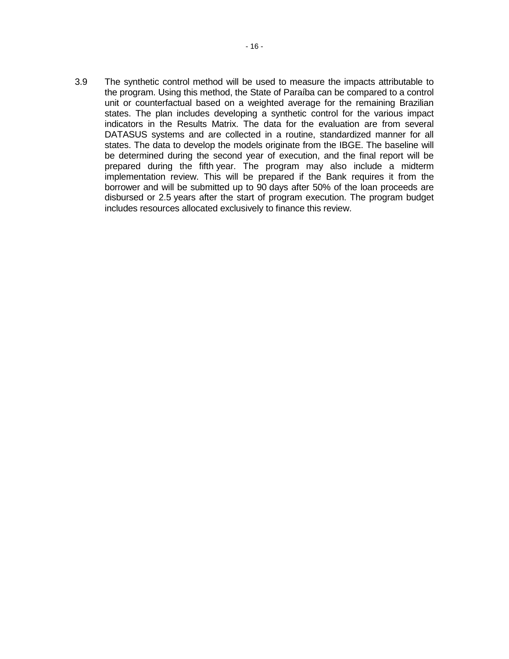3.9 The synthetic control method will be used to measure the impacts attributable to the program. Using this method, the State of Paraíba can be compared to a control unit or counterfactual based on a weighted average for the remaining Brazilian states. The plan includes developing a synthetic control for the various impact indicators in the Results Matrix. The data for the evaluation are from several DATASUS systems and are collected in a routine, standardized manner for all states. The data to develop the models originate from the IBGE. The baseline will be determined during the second year of execution, and the final report will be prepared during the fifth year. The program may also include a midterm implementation review. This will be prepared if the Bank requires it from the borrower and will be submitted up to 90 days after 50% of the loan proceeds are disbursed or 2.5 years after the start of program execution. The program budget includes resources allocated exclusively to finance this review.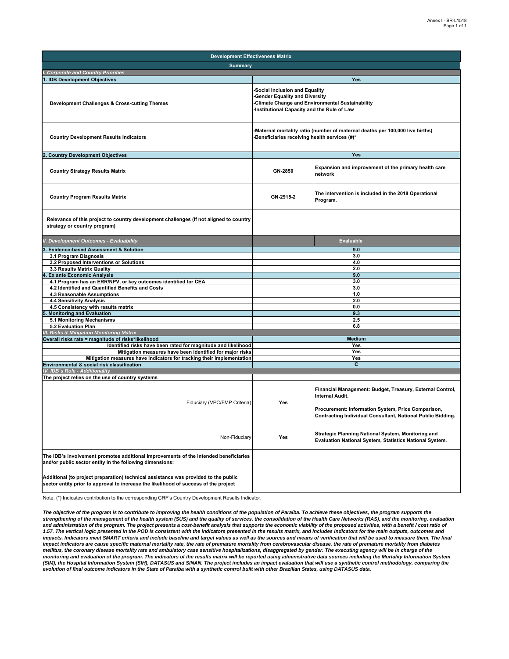| <b>Development Effectiveness Matrix</b>                                                                                                                                     |                                                                                                                                                                               |                                                                                                                                                                                                          |  |  |  |  |  |  |
|-----------------------------------------------------------------------------------------------------------------------------------------------------------------------------|-------------------------------------------------------------------------------------------------------------------------------------------------------------------------------|----------------------------------------------------------------------------------------------------------------------------------------------------------------------------------------------------------|--|--|--|--|--|--|
| <b>Summary</b>                                                                                                                                                              |                                                                                                                                                                               |                                                                                                                                                                                                          |  |  |  |  |  |  |
| <b>Corporate and Country Priorities</b>                                                                                                                                     |                                                                                                                                                                               |                                                                                                                                                                                                          |  |  |  |  |  |  |
| 1. IDB Development Objectives                                                                                                                                               |                                                                                                                                                                               | Yes                                                                                                                                                                                                      |  |  |  |  |  |  |
| Development Challenges & Cross-cutting Themes                                                                                                                               | Social Inclusion and Equality<br><b>Gender Equality and Diversity</b><br><b>Climate Change and Environmental Sustainability</b><br>Institutional Capacity and the Rule of Law |                                                                                                                                                                                                          |  |  |  |  |  |  |
| <b>Country Development Results Indicators</b>                                                                                                                               | Maternal mortality ratio (number of maternal deaths per 100,000 live births)<br>Beneficiaries receiving health services (#)*                                                  |                                                                                                                                                                                                          |  |  |  |  |  |  |
| <b>Country Development Objectives</b>                                                                                                                                       |                                                                                                                                                                               | Yes                                                                                                                                                                                                      |  |  |  |  |  |  |
| <b>Country Strategy Results Matrix</b>                                                                                                                                      | GN-2850                                                                                                                                                                       | Expansion and improvement of the primary health care<br>network                                                                                                                                          |  |  |  |  |  |  |
| <b>Country Program Results Matrix</b>                                                                                                                                       | GN-2915-2                                                                                                                                                                     | The intervention is included in the 2018 Operational<br>Program.                                                                                                                                         |  |  |  |  |  |  |
| Relevance of this project to country development challenges (If not aligned to country<br>strategy or country program)                                                      |                                                                                                                                                                               |                                                                                                                                                                                                          |  |  |  |  |  |  |
| II. Development Outcomes - Evaluability                                                                                                                                     |                                                                                                                                                                               | <b>Evaluable</b>                                                                                                                                                                                         |  |  |  |  |  |  |
| Evidence-based Assessment & Solution                                                                                                                                        |                                                                                                                                                                               | 9.0                                                                                                                                                                                                      |  |  |  |  |  |  |
| 3.1 Program Diagnosis                                                                                                                                                       |                                                                                                                                                                               | 3.0                                                                                                                                                                                                      |  |  |  |  |  |  |
| 3.2 Proposed Interventions or Solutions                                                                                                                                     |                                                                                                                                                                               | 4.0                                                                                                                                                                                                      |  |  |  |  |  |  |
| 3.3 Results Matrix Quality                                                                                                                                                  |                                                                                                                                                                               | 2.0                                                                                                                                                                                                      |  |  |  |  |  |  |
| <b>Ex ante Economic Analysis</b>                                                                                                                                            |                                                                                                                                                                               | 9.0                                                                                                                                                                                                      |  |  |  |  |  |  |
| 4.1 Program has an ERR/NPV, or key outcomes identified for CEA<br>4.2 Identified and Quantified Benefits and Costs                                                          | 3.0<br>3.0                                                                                                                                                                    |                                                                                                                                                                                                          |  |  |  |  |  |  |
| 4.3 Reasonable Assumptions                                                                                                                                                  | 1.0                                                                                                                                                                           |                                                                                                                                                                                                          |  |  |  |  |  |  |
| 4.4 Sensitivity Analysis                                                                                                                                                    | 2.0                                                                                                                                                                           |                                                                                                                                                                                                          |  |  |  |  |  |  |
| 4.5 Consistency with results matrix                                                                                                                                         | 0.0                                                                                                                                                                           |                                                                                                                                                                                                          |  |  |  |  |  |  |
| <b>Monitoring and Evaluation</b>                                                                                                                                            | 9.3                                                                                                                                                                           |                                                                                                                                                                                                          |  |  |  |  |  |  |
| 5.1 Monitoring Mechanisms                                                                                                                                                   | 2.5                                                                                                                                                                           |                                                                                                                                                                                                          |  |  |  |  |  |  |
| 5.2 Evaluation Plan<br><b>III. Risks &amp; Mitigation Monitoring Matrix</b>                                                                                                 |                                                                                                                                                                               | 6.8                                                                                                                                                                                                      |  |  |  |  |  |  |
| Overall risks rate = magnitude of risks*likelihood                                                                                                                          | <b>Medium</b>                                                                                                                                                                 |                                                                                                                                                                                                          |  |  |  |  |  |  |
| Identified risks have been rated for magnitude and likelihood                                                                                                               |                                                                                                                                                                               | Yes                                                                                                                                                                                                      |  |  |  |  |  |  |
| Mitigation measures have been identified for major risks                                                                                                                    |                                                                                                                                                                               | Yes                                                                                                                                                                                                      |  |  |  |  |  |  |
| Mitigation measures have indicators for tracking their implementation                                                                                                       |                                                                                                                                                                               | Yes                                                                                                                                                                                                      |  |  |  |  |  |  |
| Environmental & social risk classification                                                                                                                                  | C                                                                                                                                                                             |                                                                                                                                                                                                          |  |  |  |  |  |  |
| IV. IDB's Role - Additionality                                                                                                                                              |                                                                                                                                                                               |                                                                                                                                                                                                          |  |  |  |  |  |  |
| The project relies on the use of country systems                                                                                                                            |                                                                                                                                                                               |                                                                                                                                                                                                          |  |  |  |  |  |  |
| Fiduciary (VPC/FMP Criteria)                                                                                                                                                | Yes                                                                                                                                                                           | Financial Management: Budget, Treasury, External Control,<br><b>Internal Audit.</b><br>Procurement: Information System, Price Comparison,<br>Contracting Individual Consultant, National Public Bidding. |  |  |  |  |  |  |
| Non-Fiduciary                                                                                                                                                               | Yes                                                                                                                                                                           | Strategic Planning National System, Monitoring and<br>Evaluation National System, Statistics National System.                                                                                            |  |  |  |  |  |  |
| The IDB's involvement promotes additional improvements of the intended beneficiaries<br>and/or public sector entity in the following dimensions:                            |                                                                                                                                                                               |                                                                                                                                                                                                          |  |  |  |  |  |  |
| Additional (to project preparation) technical assistance was provided to the public<br>sector entity prior to approval to increase the likelihood of success of the project |                                                                                                                                                                               |                                                                                                                                                                                                          |  |  |  |  |  |  |

Note: (\*) Indicates contribution to the corresponding CRF's Country Development Results Indicator.

The objective of the program is to contribute to improving the health conditions of the population of Paraíba. To achieve these objectives, the program supports the<br>strengthening of the management of the health system (SUS and administration of the program. The project presents a cost-benefit analysis that supports the economic viability of the proposed activities, with a benefit / cost ratio of *1.57. The vertical logic presented in the POD is consistent with the indicators presented in the results matrix, and includes indicators for the main outputs, outcomes and*  impacts. Indicators meet SMART criteria and include baseline and target values as well as the sources and means of verification that will be used to measure them. The final *impact indicators are cause specific maternal mortality rate, the rate of premature mortality from cerebrovascular disease, the rate of premature mortality from diabetes mellitus, the coronary disease mortality rate and ambulatory case sensitive hospitalizations, disaggregated by gender. The executing agency will be in charge of the monitoring and evaluation of the program. The indicators of the results matrix will be reported using administrative data sources including the Mortality Information System (SIM), the Hospital Information System (SIH), DATASUS and SINAN. The project includes an impact evaluation that will use a synthetic control methodology, comparing the evolution of final outcome indicators in the State of Paraíba with a synthetic control built with other Brazilian States, using DATASUS data.*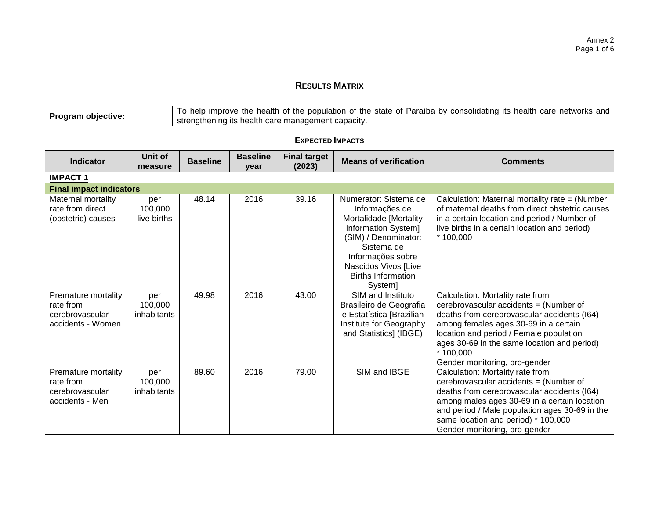## **RESULTS MATRIX**

|                    | To help improve the health of the population of the state of Paraíba by consolidating its health care networks and |
|--------------------|--------------------------------------------------------------------------------------------------------------------|
| Program objective: | strengthening its health care management capacity.                                                                 |

| <b>Indicator</b>                                                         | Unit of<br>measure            | <b>Baseline</b> | <b>Baseline</b><br>vear | <b>Final target</b><br>(2023) | <b>Means of verification</b>                                                                                                                                                                                        | <b>Comments</b>                                                                                                                                                                                                                                                                                            |  |  |  |  |  |
|--------------------------------------------------------------------------|-------------------------------|-----------------|-------------------------|-------------------------------|---------------------------------------------------------------------------------------------------------------------------------------------------------------------------------------------------------------------|------------------------------------------------------------------------------------------------------------------------------------------------------------------------------------------------------------------------------------------------------------------------------------------------------------|--|--|--|--|--|
| <b>IMPACT1</b>                                                           |                               |                 |                         |                               |                                                                                                                                                                                                                     |                                                                                                                                                                                                                                                                                                            |  |  |  |  |  |
| <b>Final impact indicators</b>                                           |                               |                 |                         |                               |                                                                                                                                                                                                                     |                                                                                                                                                                                                                                                                                                            |  |  |  |  |  |
| Maternal mortality<br>rate from direct<br>(obstetric) causes             | per<br>100,000<br>live births | 48.14           | 2016                    | 39.16                         | Numerator: Sistema de<br>Informações de<br>Mortalidade [Mortality<br>Information System]<br>(SIM) / Denominator:<br>Sistema de<br>Informações sobre<br>Nascidos Vivos [Live<br><b>Births Information</b><br>System] | Calculation: Maternal mortality rate = (Number<br>of maternal deaths from direct obstetric causes<br>in a certain location and period / Number of<br>live births in a certain location and period)<br>$*100,000$                                                                                           |  |  |  |  |  |
| Premature mortality<br>rate from<br>cerebrovascular<br>accidents - Women | per<br>100,000<br>inhabitants | 49.98           | 2016                    | 43.00                         | SIM and Instituto<br>Brasileiro de Geografia<br>e Estatística [Brazilian<br>Institute for Geography<br>and Statistics] (IBGE)                                                                                       | Calculation: Mortality rate from<br>cerebrovascular accidents = (Number of<br>deaths from cerebrovascular accidents (I64)<br>among females ages 30-69 in a certain<br>location and period / Female population<br>ages 30-69 in the same location and period)<br>* 100,000<br>Gender monitoring, pro-gender |  |  |  |  |  |
| Premature mortality<br>rate from<br>cerebrovascular<br>accidents - Men   | per<br>100,000<br>inhabitants | 89.60           | 2016                    | 79.00                         | SIM and IBGE                                                                                                                                                                                                        | Calculation: Mortality rate from<br>cerebrovascular accidents = (Number of<br>deaths from cerebrovascular accidents (I64)<br>among males ages 30-69 in a certain location<br>and period / Male population ages 30-69 in the<br>same location and period) * 100,000<br>Gender monitoring, pro-gender        |  |  |  |  |  |

## **EXPECTED IMPACTS**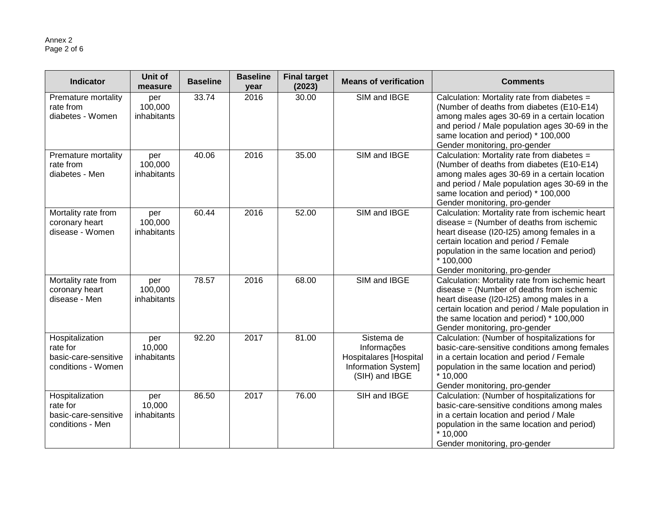| <b>Indicator</b>                                                          | Unit of<br>measure            | <b>Baseline</b> | <b>Baseline</b><br>year | <b>Final target</b><br>(2023) | <b>Means of verification</b>                                                                        | <b>Comments</b>                                                                                                                                                                                                                                                                     |
|---------------------------------------------------------------------------|-------------------------------|-----------------|-------------------------|-------------------------------|-----------------------------------------------------------------------------------------------------|-------------------------------------------------------------------------------------------------------------------------------------------------------------------------------------------------------------------------------------------------------------------------------------|
| Premature mortality<br>rate from<br>diabetes - Women                      | per<br>100,000<br>inhabitants | 33.74           | 2016                    | 30.00                         | SIM and IBGE                                                                                        | Calculation: Mortality rate from diabetes =<br>(Number of deaths from diabetes (E10-E14)<br>among males ages 30-69 in a certain location<br>and period / Male population ages 30-69 in the<br>same location and period) * 100,000<br>Gender monitoring, pro-gender                  |
| Premature mortality<br>rate from<br>diabetes - Men                        | per<br>100,000<br>inhabitants | 40.06           | 2016                    | 35.00                         | SIM and IBGE                                                                                        | Calculation: Mortality rate from diabetes =<br>(Number of deaths from diabetes (E10-E14)<br>among males ages 30-69 in a certain location<br>and period / Male population ages 30-69 in the<br>same location and period) * 100,000<br>Gender monitoring, pro-gender                  |
| Mortality rate from<br>coronary heart<br>disease - Women                  | per<br>100,000<br>inhabitants | 60.44           | 2016                    | 52.00                         | SIM and IBGE                                                                                        | Calculation: Mortality rate from ischemic heart<br>$disease = (Number of deaths from ischemic)$<br>heart disease (I20-I25) among females in a<br>certain location and period / Female<br>population in the same location and period)<br>$*100,000$<br>Gender monitoring, pro-gender |
| Mortality rate from<br>coronary heart<br>disease - Men                    | per<br>100,000<br>inhabitants | 78.57           | 2016                    | 68.00                         | SIM and IBGE                                                                                        | Calculation: Mortality rate from ischemic heart<br>$disease = (Number of deaths from ischemic)$<br>heart disease (I20-I25) among males in a<br>certain location and period / Male population in<br>the same location and period) * 100,000<br>Gender monitoring, pro-gender         |
| Hospitalization<br>rate for<br>basic-care-sensitive<br>conditions - Women | per<br>10,000<br>inhabitants  | 92.20           | 2017                    | 81.00                         | Sistema de<br>Informações<br><b>Hospitalares</b> [Hospital<br>Information System]<br>(SIH) and IBGE | Calculation: (Number of hospitalizations for<br>basic-care-sensitive conditions among females<br>in a certain location and period / Female<br>population in the same location and period)<br>$*10,000$<br>Gender monitoring, pro-gender                                             |
| Hospitalization<br>rate for<br>basic-care-sensitive<br>conditions - Men   | per<br>10,000<br>inhabitants  | 86.50           | 2017                    | 76.00                         | SIH and IBGE                                                                                        | Calculation: (Number of hospitalizations for<br>basic-care-sensitive conditions among males<br>in a certain location and period / Male<br>population in the same location and period)<br>$*10,000$<br>Gender monitoring, pro-gender                                                 |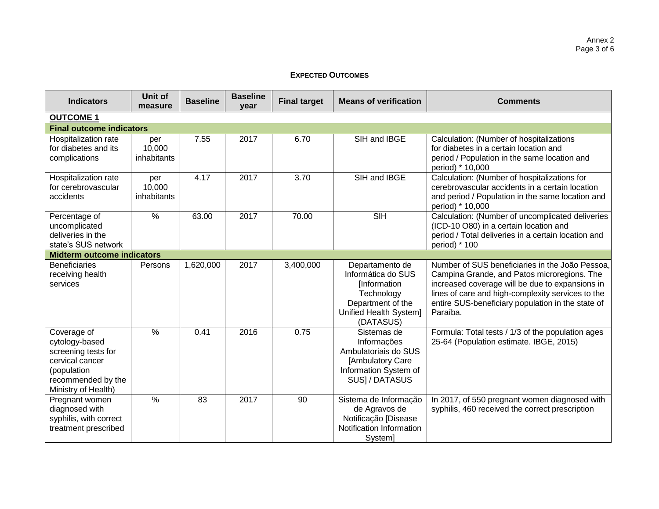### **EXPECTED OUTCOMES**

| <b>Indicators</b>                                                                                                                   | Unit of<br>measure           | <b>Baseline</b> | <b>Baseline</b><br>year | <b>Final target</b> | <b>Means of verification</b>                                                                                                    | <b>Comments</b>                                                                                                                                                                                                                                                         |
|-------------------------------------------------------------------------------------------------------------------------------------|------------------------------|-----------------|-------------------------|---------------------|---------------------------------------------------------------------------------------------------------------------------------|-------------------------------------------------------------------------------------------------------------------------------------------------------------------------------------------------------------------------------------------------------------------------|
| <b>OUTCOME 1</b>                                                                                                                    |                              |                 |                         |                     |                                                                                                                                 |                                                                                                                                                                                                                                                                         |
| <b>Final outcome indicators</b>                                                                                                     |                              |                 |                         |                     |                                                                                                                                 |                                                                                                                                                                                                                                                                         |
| Hospitalization rate<br>for diabetes and its<br>complications                                                                       | per<br>10,000<br>inhabitants | 7.55            | 2017                    | 6.70                | SIH and IBGE                                                                                                                    | Calculation: (Number of hospitalizations<br>for diabetes in a certain location and<br>period / Population in the same location and<br>period) * 10,000                                                                                                                  |
| Hospitalization rate<br>for cerebrovascular<br>accidents                                                                            | per<br>10,000<br>inhabitants | 4.17            | 2017                    | 3.70                | SIH and IBGE                                                                                                                    | Calculation: (Number of hospitalizations for<br>cerebrovascular accidents in a certain location<br>and period / Population in the same location and<br>period) * 10,000                                                                                                 |
| Percentage of<br>uncomplicated<br>deliveries in the<br>state's SUS network                                                          | $\frac{0}{0}$                | 63.00           | 2017                    | 70.00               | <b>SIH</b>                                                                                                                      | Calculation: (Number of uncomplicated deliveries<br>(ICD-10 O80) in a certain location and<br>period / Total deliveries in a certain location and<br>period) * 100                                                                                                      |
| <b>Midterm outcome indicators</b>                                                                                                   |                              |                 |                         |                     |                                                                                                                                 |                                                                                                                                                                                                                                                                         |
| <b>Beneficiaries</b><br>receiving health<br>services                                                                                | Persons                      | 1,620,000       | 2017                    | 3,400,000           | Departamento de<br>Informática do SUS<br>[Information<br>Technology<br>Department of the<br>Unified Health System]<br>(DATASUS) | Number of SUS beneficiaries in the João Pessoa,<br>Campina Grande, and Patos microregions. The<br>increased coverage will be due to expansions in<br>lines of care and high-complexity services to the<br>entire SUS-beneficiary population in the state of<br>Paraíba. |
| Coverage of<br>cytology-based<br>screening tests for<br>cervical cancer<br>(population<br>recommended by the<br>Ministry of Health) | $\%$                         | 0.41            | 2016                    | 0.75                | Sistemas de<br>Informações<br>Ambulatoriais do SUS<br>[Ambulatory Care<br>Information System of<br>SUS] / DATASUS               | Formula: Total tests / 1/3 of the population ages<br>25-64 (Population estimate. IBGE, 2015)                                                                                                                                                                            |
| Pregnant women<br>diagnosed with<br>syphilis, with correct<br>treatment prescribed                                                  | $\frac{0}{0}$                | 83              | 2017                    | 90                  | Sistema de Informação<br>de Agravos de<br>Notificação [Disease<br>Notification Information<br>System]                           | In 2017, of 550 pregnant women diagnosed with<br>syphilis, 460 received the correct prescription                                                                                                                                                                        |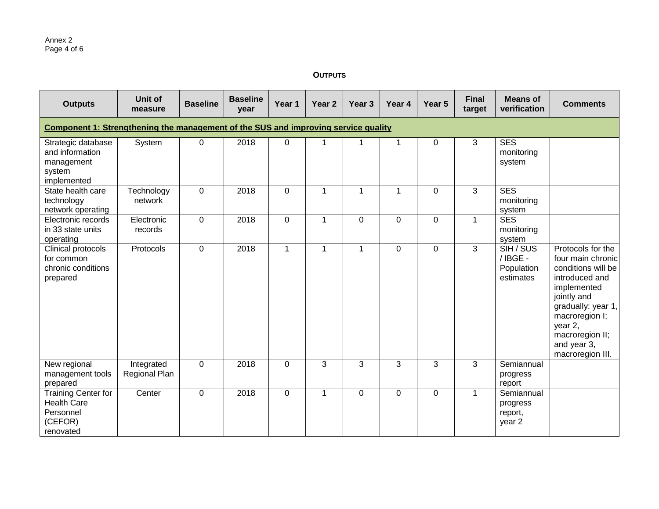**OUTPUTS**

| <b>Outputs</b>                                                                            | Unit of<br>measure          | <b>Baseline</b> | <b>Baseline</b><br>year | Year 1       | Year <sub>2</sub> | Year <sub>3</sub> | Year 4         | Year 5 | <b>Final</b><br>target | <b>Means of</b><br>verification                        | <b>Comments</b>                                                                                                                                                                                                       |
|-------------------------------------------------------------------------------------------|-----------------------------|-----------------|-------------------------|--------------|-------------------|-------------------|----------------|--------|------------------------|--------------------------------------------------------|-----------------------------------------------------------------------------------------------------------------------------------------------------------------------------------------------------------------------|
| <b>Component 1: Strengthening the management of the SUS and improving service quality</b> |                             |                 |                         |              |                   |                   |                |        |                        |                                                        |                                                                                                                                                                                                                       |
| Strategic database<br>and information<br>management<br>system<br>implemented              | System                      | $\mathbf 0$     | 2018                    | 0            | $\mathbf 1$       | 1                 | $\mathbf{1}$   | 0      | 3                      | <b>SES</b><br>monitoring<br>system                     |                                                                                                                                                                                                                       |
| State health care<br>technology<br>network operating                                      | Technology<br>network       | $\mathbf 0$     | 2018                    | $\mathbf 0$  | $\mathbf{1}$      | $\mathbf{1}$      | $\mathbf{1}$   | 0      | 3                      | <b>SES</b><br>monitoring<br>system                     |                                                                                                                                                                                                                       |
| Electronic records<br>in 33 state units<br>operating                                      | Electronic<br>records       | $\mathbf 0$     | 2018                    | $\mathbf 0$  | 1                 | $\mathbf 0$       | $\mathbf 0$    | 0      | $\mathbf{1}$           | <b>SES</b><br>monitoring<br>system                     |                                                                                                                                                                                                                       |
| Clinical protocols<br>for common<br>chronic conditions<br>prepared                        | Protocols                   | $\mathbf 0$     | 2018                    | $\mathbf{1}$ | $\mathbf 1$       | $\mathbf{1}$      | $\overline{0}$ | 0      | 3                      | SIH / SUS<br>/IBGE-<br>Population<br>estimates         | Protocols for the<br>four main chronic<br>conditions will be<br>introduced and<br>implemented<br>jointly and<br>gradually: year 1,<br>macroregion I;<br>year 2,<br>macroregion II;<br>and year 3,<br>macroregion III. |
| New regional<br>management tools<br>prepared                                              | Integrated<br>Regional Plan | $\mathbf 0$     | 2018                    | 0            | 3                 | 3                 | 3              | 3      | 3                      | Semiannual<br>progress<br>report                       |                                                                                                                                                                                                                       |
| <b>Training Center for</b><br><b>Health Care</b><br>Personnel<br>(CEFOR)<br>renovated     | Center                      | $\mathbf 0$     | 2018                    | $\mathbf 0$  | $\mathbf{1}$      | $\mathbf 0$       | $\mathbf 0$    | 0      | $\mathbf{1}$           | Semiannual<br>progress<br>report,<br>year <sub>2</sub> |                                                                                                                                                                                                                       |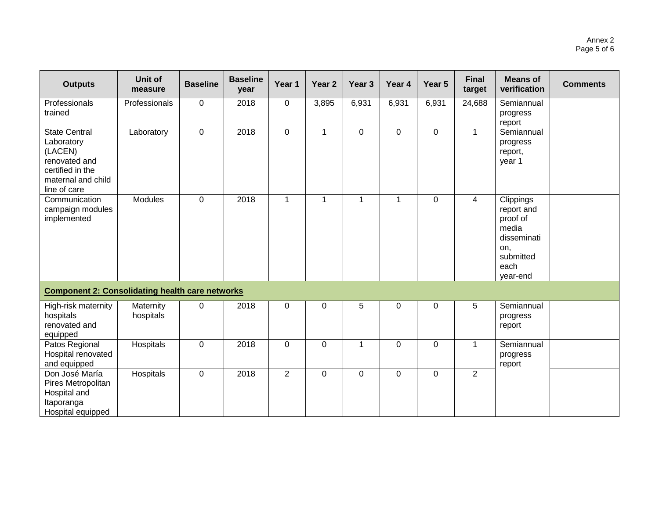| <b>Outputs</b>                                                                                                           | Unit of<br>measure     | <b>Baseline</b> | <b>Baseline</b><br>year | Year 1         | Year <sub>2</sub> | Year <sub>3</sub> | Year 4         | Year 5      | <b>Final</b><br>target | <b>Means of</b><br>verification                                                                     | <b>Comments</b> |
|--------------------------------------------------------------------------------------------------------------------------|------------------------|-----------------|-------------------------|----------------|-------------------|-------------------|----------------|-------------|------------------------|-----------------------------------------------------------------------------------------------------|-----------------|
| Professionals<br>trained                                                                                                 | Professionals          | $\mathbf 0$     | 2018                    | $\mathbf 0$    | 3,895             | 6,931             | 6,931          | 6,931       | 24,688                 | Semiannual<br>progress<br>report                                                                    |                 |
| <b>State Central</b><br>Laboratory<br>(LACEN)<br>renovated and<br>certified in the<br>maternal and child<br>line of care | Laboratory             | $\mathbf 0$     | 2018                    | $\mathbf 0$    | $\mathbf{1}$      | $\mathbf 0$       | $\overline{0}$ | $\mathbf 0$ | $\mathbf{1}$           | Semiannual<br>progress<br>report,<br>year 1                                                         |                 |
| Communication<br>campaign modules<br>implemented                                                                         | <b>Modules</b>         | $\mathbf 0$     | 2018                    | $\mathbf{1}$   | $\mathbf{1}$      | $\mathbf{1}$      | $\mathbf{1}$   | 0           | $\overline{4}$         | Clippings<br>report and<br>proof of<br>media<br>disseminati<br>on,<br>submitted<br>each<br>year-end |                 |
| <b>Component 2: Consolidating health care networks</b>                                                                   |                        |                 |                         |                |                   |                   |                |             |                        |                                                                                                     |                 |
| High-risk maternity<br>hospitals<br>renovated and<br>equipped                                                            | Maternity<br>hospitals | $\mathbf 0$     | 2018                    | $\mathbf 0$    | $\mathbf 0$       | 5                 | $\mathbf 0$    | 0           | 5                      | Semiannual<br>progress<br>report                                                                    |                 |
| Patos Regional<br>Hospital renovated<br>and equipped                                                                     | Hospitals              | $\mathbf 0$     | 2018                    | $\mathbf 0$    | $\mathbf 0$       | 1                 | $\overline{0}$ | 0           | $\mathbf 1$            | Semiannual<br>progress<br>report                                                                    |                 |
| Don José María<br>Pires Metropolitan<br>Hospital and<br>Itaporanga<br>Hospital equipped                                  | Hospitals              | $\mathbf 0$     | 2018                    | $\overline{2}$ | $\mathbf 0$       | $\mathbf 0$       | $\mathbf 0$    | 0           | $\overline{2}$         |                                                                                                     |                 |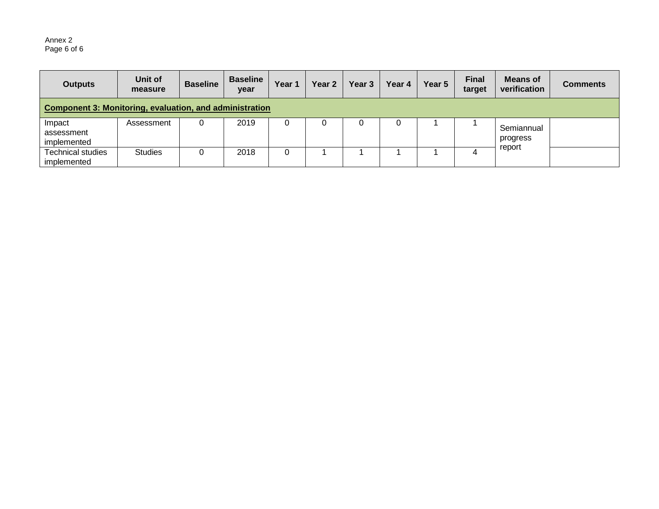#### Annex 2 Page 6 of 6

| <b>Outputs</b>                                                 | Unit of<br>measure | <b>Baseline</b> | <b>Baseline</b><br>year | Year 1 | Year <sub>2</sub> | Year 3 | Year 4 | Year 5 | <b>Final</b><br>target | <b>Means of</b><br>verification | <b>Comments</b> |
|----------------------------------------------------------------|--------------------|-----------------|-------------------------|--------|-------------------|--------|--------|--------|------------------------|---------------------------------|-----------------|
| <b>Component 3: Monitoring, evaluation, and administration</b> |                    |                 |                         |        |                   |        |        |        |                        |                                 |                 |
| Impact<br>assessment<br>implemented                            | Assessment         |                 | 2019                    |        |                   |        | 0      |        |                        | Semiannual<br>progress          |                 |
| <b>Technical studies</b><br>implemented                        | <b>Studies</b>     |                 | 2018                    |        |                   |        |        |        |                        | report                          |                 |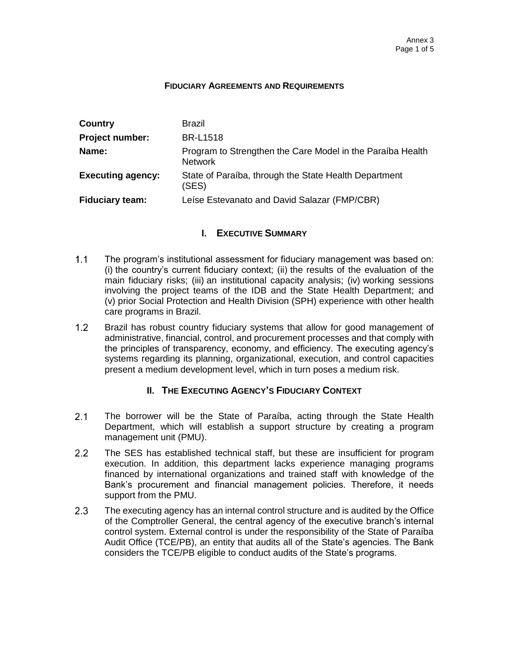#### **FIDUCIARY AGREEMENTS AND REQUIREMENTS**

| Country                  | <b>Brazil</b>                                                                |
|--------------------------|------------------------------------------------------------------------------|
| <b>Project number:</b>   | <b>BR-L1518</b>                                                              |
| Name:                    | Program to Strengthen the Care Model in the Paraíba Health<br><b>Network</b> |
| <b>Executing agency:</b> | State of Paraíba, through the State Health Department<br>(SES)               |
| <b>Fiduciary team:</b>   | Leise Estevanato and David Salazar (FMP/CBR)                                 |

## **I. EXECUTIVE SUMMARY**

- $1.1$ The program's institutional assessment for fiduciary management was based on: (i) the country's current fiduciary context; (ii) the results of the evaluation of the main fiduciary risks; (iii) an institutional capacity analysis; (iv) working sessions involving the project teams of the IDB and the State Health Department; and (v) prior Social Protection and Health Division (SPH) experience with other health care programs in Brazil.
- $1.2<sub>2</sub>$ Brazil has robust country fiduciary systems that allow for good management of administrative, financial, control, and procurement processes and that comply with the principles of transparency, economy, and efficiency. The executing agency's systems regarding its planning, organizational, execution, and control capacities present a medium development level, which in turn poses a medium risk.

## **II. THE EXECUTING AGENCY'S FIDUCIARY CONTEXT**

- $2.1$ The borrower will be the State of Paraíba, acting through the State Health Department, which will establish a support structure by creating a program management unit (PMU).
- $2.2^{\circ}$ The SES has established technical staff, but these are insufficient for program execution. In addition, this department lacks experience managing programs financed by international organizations and trained staff with knowledge of the Bank's procurement and financial management policies. Therefore, it needs support from the PMU.
- $2.3$ The executing agency has an internal control structure and is audited by the Office of the Comptroller General, the central agency of the executive branch's internal control system. External control is under the responsibility of the State of Paraíba Audit Office (TCE/PB), an entity that audits all of the State's agencies. The Bank considers the TCE/PB eligible to conduct audits of the State's programs.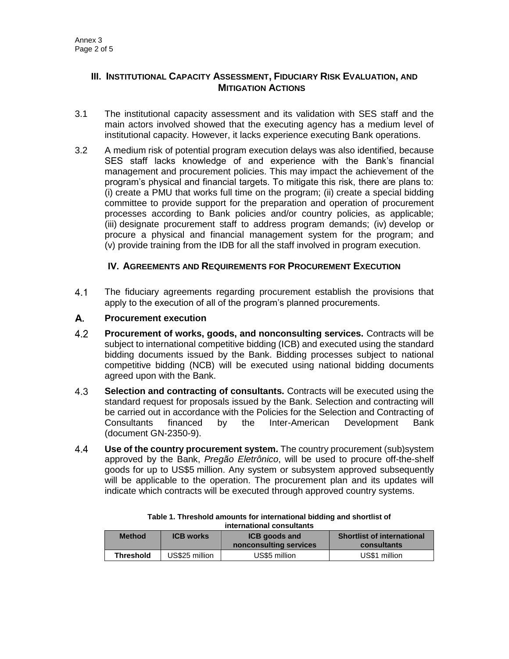## **III. INSTITUTIONAL CAPACITY ASSESSMENT, FIDUCIARY RISK EVALUATION, AND MITIGATION ACTIONS**

- 3.1 The institutional capacity assessment and its validation with SES staff and the main actors involved showed that the executing agency has a medium level of institutional capacity. However, it lacks experience executing Bank operations.
- 3.2 A medium risk of potential program execution delays was also identified, because SES staff lacks knowledge of and experience with the Bank's financial management and procurement policies. This may impact the achievement of the program's physical and financial targets. To mitigate this risk, there are plans to: (i) create a PMU that works full time on the program; (ii) create a special bidding committee to provide support for the preparation and operation of procurement processes according to Bank policies and/or country policies, as applicable; (iii) designate procurement staff to address program demands; (iv) develop or procure a physical and financial management system for the program; and (v) provide training from the IDB for all the staff involved in program execution.

## **IV. AGREEMENTS AND REQUIREMENTS FOR PROCUREMENT EXECUTION**

 $4.1$ The fiduciary agreements regarding procurement establish the provisions that apply to the execution of all of the program's planned procurements.

#### А. **Procurement execution**

- $4.2$ **Procurement of works, goods, and nonconsulting services.** Contracts will be subject to international competitive bidding (ICB) and executed using the standard bidding documents issued by the Bank. Bidding processes subject to national competitive bidding (NCB) will be executed using national bidding documents agreed upon with the Bank.
- $4.3$ **Selection and contracting of consultants.** Contracts will be executed using the standard request for proposals issued by the Bank. Selection and contracting will be carried out in accordance with the Policies for the Selection and Contracting of Consultants financed by the Inter-American Development Bank (document GN-2350-9).
- 4.4 **Use of the country procurement system.** The country procurement (sub)system approved by the Bank, *Pregão Eletrônico*, will be used to procure off-the-shelf goods for up to US\$5 million. Any system or subsystem approved subsequently will be applicable to the operation. The procurement plan and its updates will indicate which contracts will be executed through approved country systems.

| 1111611141101141 CONSUNANCE |                  |                                                |                                                  |  |  |  |
|-----------------------------|------------------|------------------------------------------------|--------------------------------------------------|--|--|--|
| <b>Method</b>               | <b>ICB</b> works | <b>ICB</b> goods and<br>nonconsulting services | <b>Shortlist of international</b><br>consultants |  |  |  |
| <b>Threshold</b>            | US\$25 million   | US\$5 million                                  | US\$1 million                                    |  |  |  |

**Table 1. Threshold amounts for international bidding and shortlist of international consultants**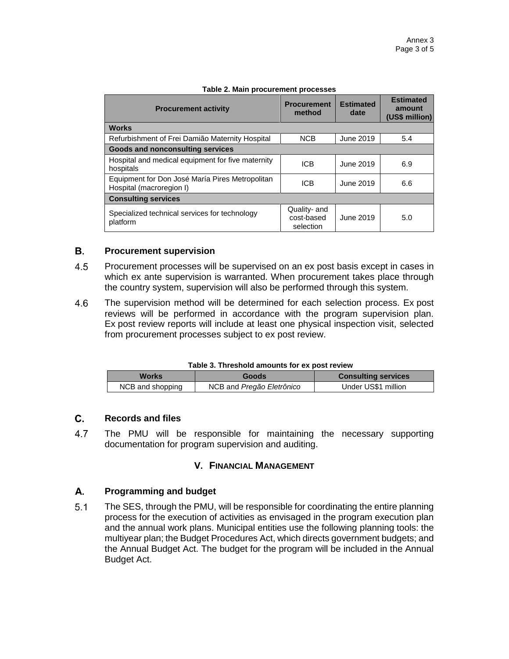| <b>Procurement activity</b>                                                 | <b>Procurement</b><br>method            | <b>Estimated</b><br>date | <b>Estimated</b><br>amount<br>(US\$ million) |
|-----------------------------------------------------------------------------|-----------------------------------------|--------------------------|----------------------------------------------|
| <b>Works</b>                                                                |                                         |                          |                                              |
| Refurbishment of Frei Damião Maternity Hospital                             | <b>NCB</b>                              | June 2019                | 5.4                                          |
| <b>Goods and nonconsulting services</b>                                     |                                         |                          |                                              |
| Hospital and medical equipment for five maternity<br>hospitals              | <b>ICB</b>                              | June 2019                | 6.9                                          |
| Equipment for Don José María Pires Metropolitan<br>Hospital (macroregion I) | <b>ICB</b>                              | June 2019                | 6.6                                          |
| <b>Consulting services</b>                                                  |                                         |                          |                                              |
| Specialized technical services for technology<br>platform                   | Quality- and<br>cost-based<br>selection | June 2019                | 5.0                                          |

#### **Table 2. Main procurement processes**

#### В. **Procurement supervision**

- 4.5 Procurement processes will be supervised on an ex post basis except in cases in which ex ante supervision is warranted. When procurement takes place through the country system, supervision will also be performed through this system.
- 4.6 The supervision method will be determined for each selection process. Ex post reviews will be performed in accordance with the program supervision plan. Ex post review reports will include at least one physical inspection visit, selected from procurement processes subject to ex post review.

| Table 3. Threshold amounts for ex post review |  |  |  |  |  |  |
|-----------------------------------------------|--|--|--|--|--|--|
|-----------------------------------------------|--|--|--|--|--|--|

| <b>Works</b>     | <b>Goods</b>              | <b>Consulting services</b> |
|------------------|---------------------------|----------------------------|
| NCB and shopping | NCB and Pregão Eletrônico | Under US\$1 million        |

#### C. **Records and files**

4.7 The PMU will be responsible for maintaining the necessary supporting documentation for program supervision and auditing.

## **V. FINANCIAL MANAGEMENT**

#### A. **Programming and budget**

 $5.1$ The SES, through the PMU, will be responsible for coordinating the entire planning process for the execution of activities as envisaged in the program execution plan and the annual work plans. Municipal entities use the following planning tools: the multiyear plan; the Budget Procedures Act, which directs government budgets; and the Annual Budget Act. The budget for the program will be included in the Annual Budget Act.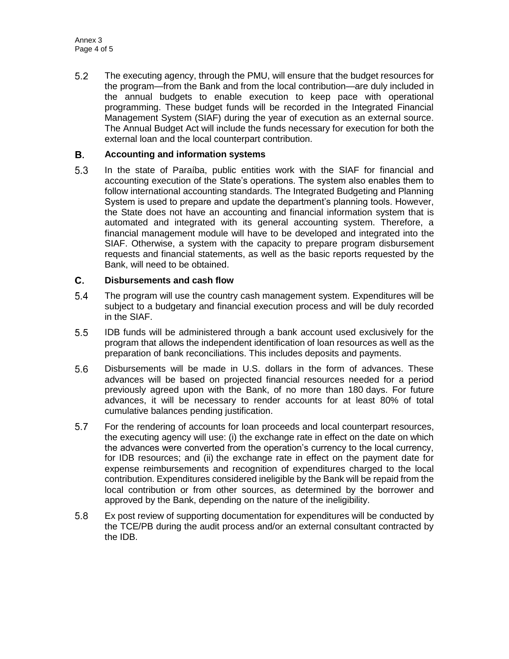$5.2$ The executing agency, through the PMU, will ensure that the budget resources for the program—from the Bank and from the local contribution—are duly included in the annual budgets to enable execution to keep pace with operational programming. These budget funds will be recorded in the Integrated Financial Management System (SIAF) during the year of execution as an external source. The Annual Budget Act will include the funds necessary for execution for both the external loan and the local counterpart contribution.

#### В. **Accounting and information systems**

 $5.3$ In the state of Paraíba, public entities work with the SIAF for financial and accounting execution of the State's operations. The system also enables them to follow international accounting standards. The Integrated Budgeting and Planning System is used to prepare and update the department's planning tools. However, the State does not have an accounting and financial information system that is automated and integrated with its general accounting system. Therefore, a financial management module will have to be developed and integrated into the SIAF. Otherwise, a system with the capacity to prepare program disbursement requests and financial statements, as well as the basic reports requested by the Bank, will need to be obtained.

#### C. **Disbursements and cash flow**

- $5.4$ The program will use the country cash management system. Expenditures will be subject to a budgetary and financial execution process and will be duly recorded in the SIAF.
- $5.5$ IDB funds will be administered through a bank account used exclusively for the program that allows the independent identification of loan resources as well as the preparation of bank reconciliations. This includes deposits and payments.
- $5.6$ Disbursements will be made in U.S. dollars in the form of advances. These advances will be based on projected financial resources needed for a period previously agreed upon with the Bank, of no more than 180 days. For future advances, it will be necessary to render accounts for at least 80% of total cumulative balances pending justification.
- 5.7 For the rendering of accounts for loan proceeds and local counterpart resources, the executing agency will use: (i) the exchange rate in effect on the date on which the advances were converted from the operation's currency to the local currency, for IDB resources; and (ii) the exchange rate in effect on the payment date for expense reimbursements and recognition of expenditures charged to the local contribution. Expenditures considered ineligible by the Bank will be repaid from the local contribution or from other sources, as determined by the borrower and approved by the Bank, depending on the nature of the ineligibility.
- $5.8$ Ex post review of supporting documentation for expenditures will be conducted by the TCE/PB during the audit process and/or an external consultant contracted by the IDB.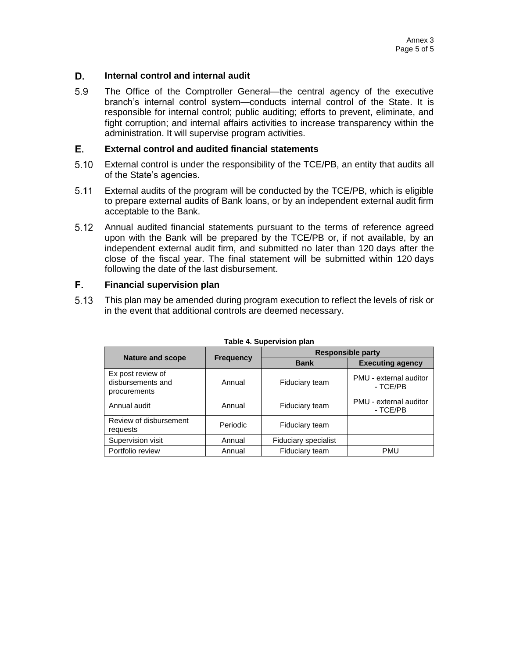#### D. **Internal control and internal audit**

5.9 The Office of the Comptroller General—the central agency of the executive branch's internal control system—conducts internal control of the State. It is responsible for internal control; public auditing; efforts to prevent, eliminate, and fight corruption; and internal affairs activities to increase transparency within the administration. It will supervise program activities.

#### E. **External control and audited financial statements**

- $5.10$ External control is under the responsibility of the TCE/PB, an entity that audits all of the State's agencies.
- $5.11$ External audits of the program will be conducted by the TCE/PB, which is eligible to prepare external audits of Bank loans, or by an independent external audit firm acceptable to the Bank.
- $5.12$ Annual audited financial statements pursuant to the terms of reference agreed upon with the Bank will be prepared by the TCE/PB or, if not available, by an independent external audit firm, and submitted no later than 120 days after the close of the fiscal year. The final statement will be submitted within 120 days following the date of the last disbursement.

#### F. **Financial supervision plan**

 $5.13$ This plan may be amended during program execution to reflect the levels of risk or in the event that additional controls are deemed necessary.

| <b>I AVIC 4. JUNCI VISIUII PIAII</b>                   |                  |                             |                                    |  |  |  |  |
|--------------------------------------------------------|------------------|-----------------------------|------------------------------------|--|--|--|--|
|                                                        |                  | <b>Responsible party</b>    |                                    |  |  |  |  |
| <b>Nature and scope</b>                                | <b>Frequency</b> | <b>Bank</b>                 | <b>Executing agency</b>            |  |  |  |  |
| Ex post review of<br>disbursements and<br>procurements | Annual           | Fiduciary team              | PMU - external auditor<br>- TCE/PB |  |  |  |  |
| Annual audit                                           | Annual           | Fiduciary team              | PMU - external auditor<br>- TCE/PB |  |  |  |  |
| Review of disbursement<br>requests                     | Periodic         | Fiduciary team              |                                    |  |  |  |  |
| Supervision visit                                      | Annual           | <b>Fiduciary specialist</b> |                                    |  |  |  |  |
| Portfolio review                                       | Annual           | Fiduciary team              | <b>PMU</b>                         |  |  |  |  |

#### **Table 4. Supervision plan**